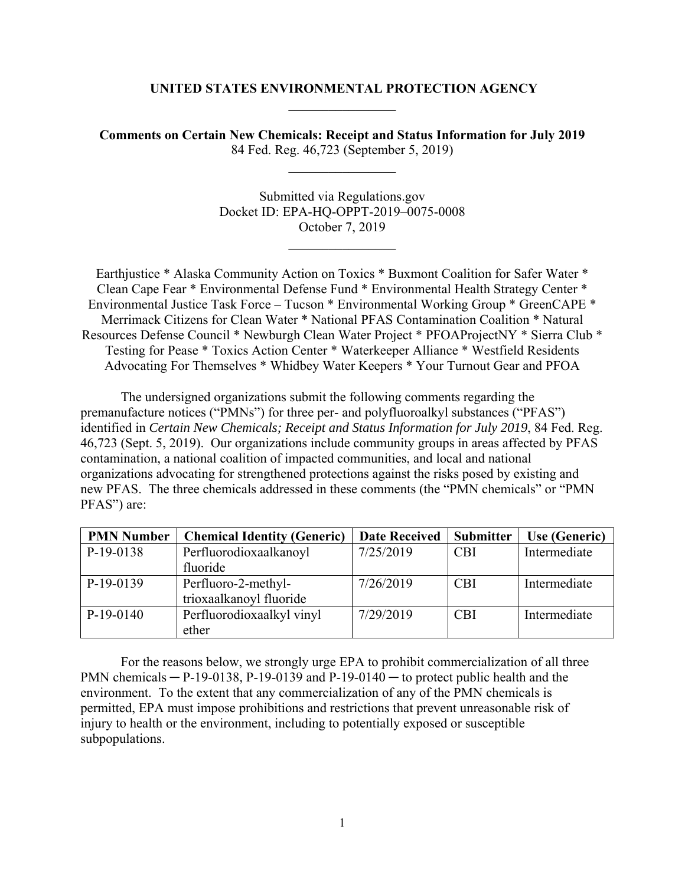#### **UNITED STATES ENVIRONMENTAL PROTECTION AGENCY**

**Comments on Certain New Chemicals: Receipt and Status Information for July 2019**  84 Fed. Reg. 46,723 (September 5, 2019)

> Submitted via Regulations.gov Docket ID: EPA-HQ-OPPT-2019–0075-0008 October 7, 2019

Earthjustice \* Alaska Community Action on Toxics \* Buxmont Coalition for Safer Water \* Clean Cape Fear \* Environmental Defense Fund \* Environmental Health Strategy Center \* Environmental Justice Task Force – Tucson \* Environmental Working Group \* GreenCAPE \* Merrimack Citizens for Clean Water \* National PFAS Contamination Coalition \* Natural Resources Defense Council \* Newburgh Clean Water Project \* PFOAProjectNY \* Sierra Club \* Testing for Pease \* Toxics Action Center \* Waterkeeper Alliance \* Westfield Residents Advocating For Themselves \* Whidbey Water Keepers \* Your Turnout Gear and PFOA

The undersigned organizations submit the following comments regarding the premanufacture notices ("PMNs") for three per- and polyfluoroalkyl substances ("PFAS") identified in *Certain New Chemicals; Receipt and Status Information for July 2019*, 84 Fed. Reg. 46,723 (Sept. 5, 2019). Our organizations include community groups in areas affected by PFAS contamination, a national coalition of impacted communities, and local and national organizations advocating for strengthened protections against the risks posed by existing and new PFAS. The three chemicals addressed in these comments (the "PMN chemicals" or "PMN PFAS") are:

| <b>PMN Number</b> | <b>Chemical Identity (Generic)</b> | <b>Date Received</b> | <b>Submitter</b> | <b>Use (Generic)</b> |
|-------------------|------------------------------------|----------------------|------------------|----------------------|
| $P-19-0138$       | Perfluorodioxaalkanoyl             | 7/25/2019            | <b>CBI</b>       | Intermediate         |
|                   | fluoride                           |                      |                  |                      |
| $P-19-0139$       | Perfluoro-2-methyl-                | 7/26/2019            | <b>CBI</b>       | Intermediate         |
|                   | trioxaalkanoyl fluoride            |                      |                  |                      |
| $P-19-0140$       | Perfluorodioxaalkyl vinyl          | 7/29/2019            | <b>CBI</b>       | Intermediate         |
|                   | ether                              |                      |                  |                      |

For the reasons below, we strongly urge EPA to prohibit commercialization of all three PMN chemicals  $- P-19-0138$ , P $-19-0139$  and P $-19-0140$   $-$  to protect public health and the environment. To the extent that any commercialization of any of the PMN chemicals is permitted, EPA must impose prohibitions and restrictions that prevent unreasonable risk of injury to health or the environment, including to potentially exposed or susceptible subpopulations.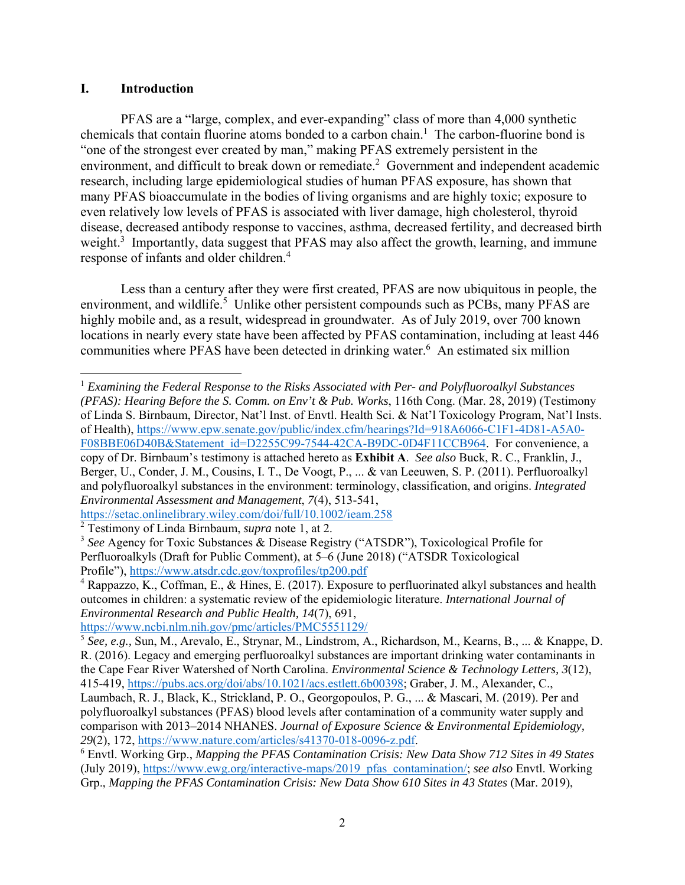#### **I. Introduction**

PFAS are a "large, complex, and ever-expanding" class of more than 4,000 synthetic chemicals that contain fluorine atoms bonded to a carbon chain.<sup>1</sup> The carbon-fluorine bond is "one of the strongest ever created by man," making PFAS extremely persistent in the environment, and difficult to break down or remediate.<sup>2</sup> Government and independent academic research, including large epidemiological studies of human PFAS exposure, has shown that many PFAS bioaccumulate in the bodies of living organisms and are highly toxic; exposure to even relatively low levels of PFAS is associated with liver damage, high cholesterol, thyroid disease, decreased antibody response to vaccines, asthma, decreased fertility, and decreased birth weight.<sup>3</sup> Importantly, data suggest that PFAS may also affect the growth, learning, and immune response of infants and older children.<sup>4</sup>

Less than a century after they were first created, PFAS are now ubiquitous in people, the environment, and wildlife.<sup>5</sup> Unlike other persistent compounds such as PCBs, many PFAS are highly mobile and, as a result, widespread in groundwater. As of July 2019, over 700 known locations in nearly every state have been affected by PFAS contamination, including at least 446 communities where PFAS have been detected in drinking water.<sup>6</sup> An estimated six million

 <sup>1</sup> *Examining the Federal Response to the Risks Associated with Per- and Polyfluoroalkyl Substances (PFAS): Hearing Before the S. Comm. on Env't & Pub. Works*, 116th Cong. (Mar. 28, 2019) (Testimony of Linda S. Birnbaum, Director, Nat'l Inst. of Envtl. Health Sci. & Nat'l Toxicology Program, Nat'l Insts. of Health), https://www.epw.senate.gov/public/index.cfm/hearings?Id=918A6066-C1F1-4D81-A5A0- F08BBE06D40B&Statement\_id=D2255C99-7544-42CA-B9DC-0D4F11CCB964. For convenience, a copy of Dr. Birnbaum's testimony is attached hereto as **Exhibit A**. *See also* Buck, R. C., Franklin, J., Berger, U., Conder, J. M., Cousins, I. T., De Voogt, P., ... & van Leeuwen, S. P. (2011). Perfluoroalkyl and polyfluoroalkyl substances in the environment: terminology, classification, and origins. *Integrated Environmental Assessment and Management*, *7*(4), 513-541,

https://setac.onlinelibrary.wiley.com/doi/full/10.1002/ieam.258

<sup>2</sup> Testimony of Linda Birnbaum, *supra* note 1, at 2.

<sup>3</sup> *See* Agency for Toxic Substances & Disease Registry ("ATSDR"), Toxicological Profile for Perfluoroalkyls (Draft for Public Comment), at 5–6 (June 2018) ("ATSDR Toxicological Profile"), https://www.atsdr.cdc.gov/toxprofiles/tp200.pdf 4

<sup>&</sup>lt;sup>4</sup> Rappazzo, K., Coffman, E., & Hines, E. (2017). Exposure to perfluorinated alkyl substances and health outcomes in children: a systematic review of the epidemiologic literature. *International Journal of Environmental Research and Public Health, 14*(7), 691,

https://www.ncbi.nlm.nih.gov/pmc/articles/PMC5551129/

<sup>5</sup> *See, e.g.,* Sun, M., Arevalo, E., Strynar, M., Lindstrom, A., Richardson, M., Kearns, B., ... & Knappe, D. R. (2016). Legacy and emerging perfluoroalkyl substances are important drinking water contaminants in the Cape Fear River Watershed of North Carolina. *Environmental Science & Technology Letters, 3*(12), 415-419, https://pubs.acs.org/doi/abs/10.1021/acs.estlett.6b00398; Graber, J. M., Alexander, C.,

Laumbach, R. J., Black, K., Strickland, P. O., Georgopoulos, P. G., ... & Mascari, M. (2019). Per and polyfluoroalkyl substances (PFAS) blood levels after contamination of a community water supply and comparison with 2013–2014 NHANES. *Journal of Exposure Science & Environmental Epidemiology, <sup>29</sup>*(2), 172, https://www.nature.com/articles/s41370-018-0096-z.pdf. 6

Envtl. Working Grp., *Mapping the PFAS Contamination Crisis: New Data Show 712 Sites in 49 States* (July 2019), https://www.ewg.org/interactive-maps/2019\_pfas\_contamination/; *see also* Envtl. Working Grp., *Mapping the PFAS Contamination Crisis: New Data Show 610 Sites in 43 States* (Mar. 2019),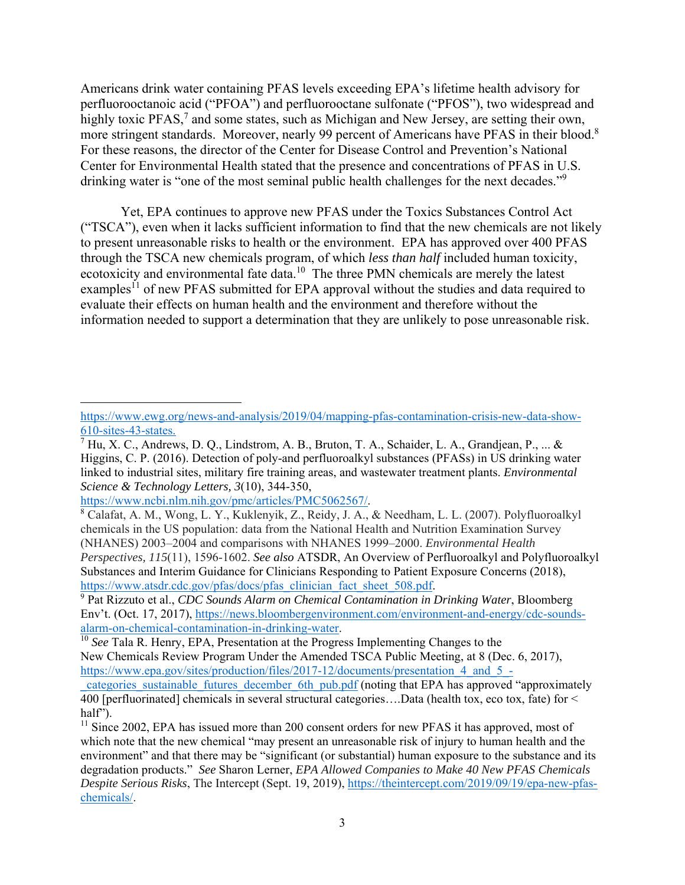Americans drink water containing PFAS levels exceeding EPA's lifetime health advisory for perfluorooctanoic acid ("PFOA") and perfluorooctane sulfonate ("PFOS"), two widespread and highly toxic PFAS,<sup>7</sup> and some states, such as Michigan and New Jersey, are setting their own, more stringent standards. Moreover, nearly 99 percent of Americans have PFAS in their blood.<sup>8</sup> For these reasons, the director of the Center for Disease Control and Prevention's National Center for Environmental Health stated that the presence and concentrations of PFAS in U.S. drinking water is "one of the most seminal public health challenges for the next decades."<sup>9</sup>

Yet, EPA continues to approve new PFAS under the Toxics Substances Control Act ("TSCA"), even when it lacks sufficient information to find that the new chemicals are not likely to present unreasonable risks to health or the environment. EPA has approved over 400 PFAS through the TSCA new chemicals program, of which *less than half* included human toxicity, ecotoxicity and environmental fate data.<sup>10</sup> The three PMN chemicals are merely the latest examples<sup>11</sup> of new PFAS submitted for EPA approval without the studies and data required to evaluate their effects on human health and the environment and therefore without the information needed to support a determination that they are unlikely to pose unreasonable risk.

https://www.ncbi.nlm.nih.gov/pmc/articles/PMC5062567/.<br><sup>8</sup> Calafat, A. M., Wong, L. Y., Kuklenyik, Z., Reidy, J. A., & Needham, L. L. (2007). Polyfluoroalkyl chemicals in the US population: data from the National Health and Nutrition Examination Survey (NHANES) 2003–2004 and comparisons with NHANES 1999–2000. *Environmental Health Perspectives, 115*(11), 1596-1602. *See also* ATSDR, An Overview of Perfluoroalkyl and Polyfluoroalkyl Substances and Interim Guidance for Clinicians Responding to Patient Exposure Concerns (2018), https://www.atsdr.cdc.gov/pfas/docs/pfas\_clinician\_fact\_sheet\_508.pdf.

 Pat Rizzuto et al., *CDC Sounds Alarm on Chemical Contamination in Drinking Water*, Bloomberg Env't. (Oct. 17, 2017), https://news.bloombergenvironment.com/environment-and-energy/cdc-sounds-<br>alarm-on-chemical-contamination-in-drinking-water.

<sup>10</sup> See Tala R. Henry, EPA, Presentation at the Progress Implementing Changes to the New Chemicals Review Program Under the Amended TSCA Public Meeting, at 8 (Dec. 6, 2017), https://www.epa.gov/sites/production/files/2017-12/documents/presentation\_4\_and\_5\_-

https://www.ewg.org/news-and-analysis/2019/04/mapping-pfas-contamination-crisis-new-data-show-610-sites-43-states.

 $^7$  Hu, X. C., Andrews, D. Q., Lindstrom, A. B., Bruton, T. A., Schaider, L. A., Grandjean, P., ... & Higgins, C. P. (2016). Detection of poly-and perfluoroalkyl substances (PFASs) in US drinking water linked to industrial sites, military fire training areas, and wastewater treatment plants. *Environmental Science & Technology Letters, 3*(10), 344-350,

categories sustainable futures december 6th pub.pdf (noting that EPA has approved "approximately 400 [perfluorinated] chemicals in several structural categories….Data (health tox, eco tox, fate) for < half").

<sup>&</sup>lt;sup>11</sup> Since 2002, EPA has issued more than 200 consent orders for new PFAS it has approved, most of which note that the new chemical "may present an unreasonable risk of injury to human health and the environment" and that there may be "significant (or substantial) human exposure to the substance and its degradation products." *See* Sharon Lerner, *EPA Allowed Companies to Make 40 New PFAS Chemicals Despite Serious Risks*, The Intercept (Sept. 19, 2019), https://theintercept.com/2019/09/19/epa-new-pfaschemicals/.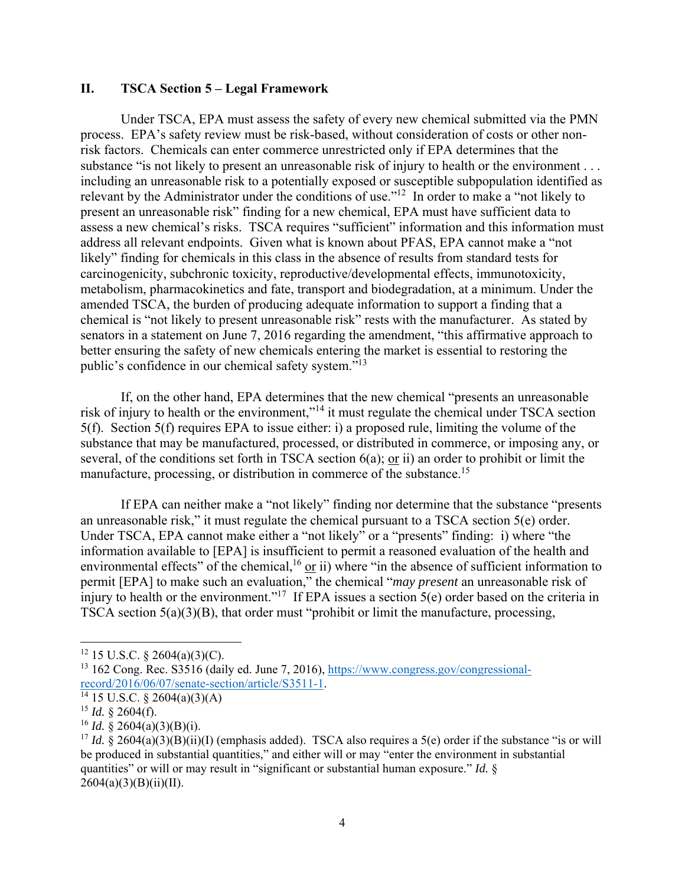## **II. TSCA Section 5 – Legal Framework**

Under TSCA, EPA must assess the safety of every new chemical submitted via the PMN process. EPA's safety review must be risk-based, without consideration of costs or other nonrisk factors. Chemicals can enter commerce unrestricted only if EPA determines that the substance "is not likely to present an unreasonable risk of injury to health or the environment . . . including an unreasonable risk to a potentially exposed or susceptible subpopulation identified as relevant by the Administrator under the conditions of use."<sup>12</sup> In order to make a "not likely to present an unreasonable risk" finding for a new chemical, EPA must have sufficient data to assess a new chemical's risks. TSCA requires "sufficient" information and this information must address all relevant endpoints. Given what is known about PFAS, EPA cannot make a "not likely" finding for chemicals in this class in the absence of results from standard tests for carcinogenicity, subchronic toxicity, reproductive/developmental effects, immunotoxicity, metabolism, pharmacokinetics and fate, transport and biodegradation, at a minimum. Under the amended TSCA, the burden of producing adequate information to support a finding that a chemical is "not likely to present unreasonable risk" rests with the manufacturer. As stated by senators in a statement on June 7, 2016 regarding the amendment, "this affirmative approach to better ensuring the safety of new chemicals entering the market is essential to restoring the public's confidence in our chemical safety system."13

If, on the other hand, EPA determines that the new chemical "presents an unreasonable risk of injury to health or the environment,"<sup>14</sup> it must regulate the chemical under TSCA section 5(f). Section 5(f) requires EPA to issue either: i) a proposed rule, limiting the volume of the substance that may be manufactured, processed, or distributed in commerce, or imposing any, or several, of the conditions set forth in TSCA section 6(a); or ii) an order to prohibit or limit the manufacture, processing, or distribution in commerce of the substance.<sup>15</sup>

If EPA can neither make a "not likely" finding nor determine that the substance "presents an unreasonable risk," it must regulate the chemical pursuant to a TSCA section 5(e) order. Under TSCA, EPA cannot make either a "not likely" or a "presents" finding: i) where "the information available to [EPA] is insufficient to permit a reasoned evaluation of the health and environmental effects" of the chemical,<sup>16</sup> or ii) where "in the absence of sufficient information to permit [EPA] to make such an evaluation," the chemical "*may present* an unreasonable risk of injury to health or the environment."<sup>17</sup> If EPA issues a section  $5(e)$  order based on the criteria in TSCA section 5(a)(3)(B), that order must "prohibit or limit the manufacture, processing,

 $12$  15 U.S.C. § 2604(a)(3)(C).

<sup>&</sup>lt;sup>13</sup> 162 Cong. Rec. S3516 (daily ed. June 7, 2016), https://www.congress.gov/congressionalrecord/2016/06/07/senate-section/article/S3511-1.<br><sup>14</sup> 15 U.S.C. § 2604(a)(3)(A)

 $^{15}$  *Id.* § 2604(f).

 $^{16}$  *Id.* § 2604(a)(3)(B)(i).

<sup>&</sup>lt;sup>17</sup> *Id.* § 2604(a)(3)(B)(ii)(I) (emphasis added). TSCA also requires a 5(e) order if the substance "is or will be produced in substantial quantities," and either will or may "enter the environment in substantial quantities" or will or may result in "significant or substantial human exposure." *Id.* §  $2604(a)(3)(B)(ii)(II).$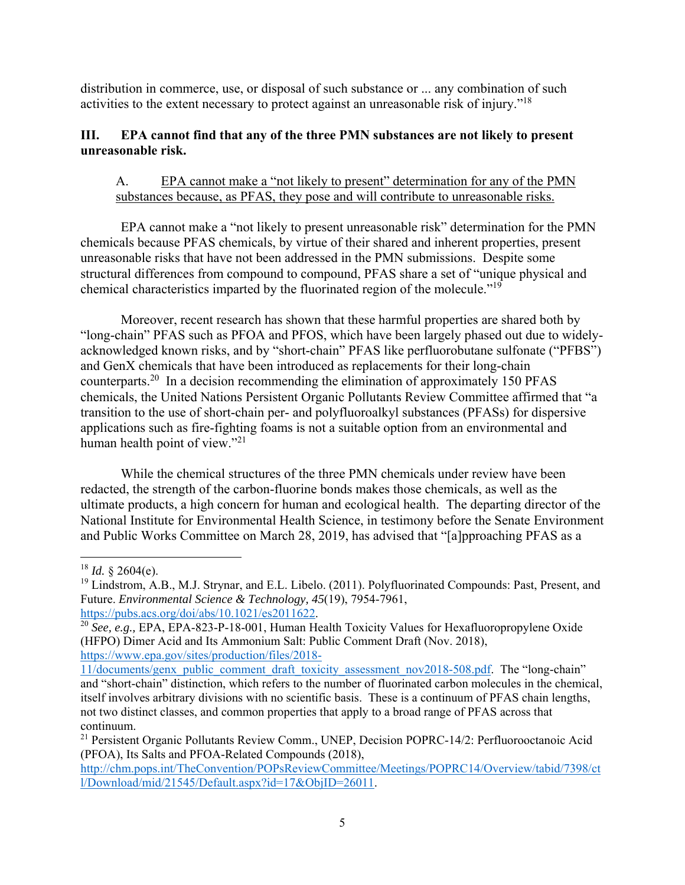distribution in commerce, use, or disposal of such substance or ... any combination of such activities to the extent necessary to protect against an unreasonable risk of injury."18

# **III. EPA cannot find that any of the three PMN substances are not likely to present unreasonable risk.**

# A. EPA cannot make a "not likely to present" determination for any of the PMN substances because, as PFAS, they pose and will contribute to unreasonable risks.

EPA cannot make a "not likely to present unreasonable risk" determination for the PMN chemicals because PFAS chemicals, by virtue of their shared and inherent properties, present unreasonable risks that have not been addressed in the PMN submissions. Despite some structural differences from compound to compound, PFAS share a set of "unique physical and chemical characteristics imparted by the fluorinated region of the molecule."19

Moreover, recent research has shown that these harmful properties are shared both by "long-chain" PFAS such as PFOA and PFOS, which have been largely phased out due to widelyacknowledged known risks, and by "short-chain" PFAS like perfluorobutane sulfonate ("PFBS") and GenX chemicals that have been introduced as replacements for their long-chain counterparts.20 In a decision recommending the elimination of approximately 150 PFAS chemicals, the United Nations Persistent Organic Pollutants Review Committee affirmed that "a transition to the use of short-chain per- and polyfluoroalkyl substances (PFASs) for dispersive applications such as fire-fighting foams is not a suitable option from an environmental and human health point of view."<sup>21</sup>

 While the chemical structures of the three PMN chemicals under review have been redacted, the strength of the carbon-fluorine bonds makes those chemicals, as well as the ultimate products, a high concern for human and ecological health. The departing director of the National Institute for Environmental Health Science, in testimony before the Senate Environment and Public Works Committee on March 28, 2019, has advised that "[a]pproaching PFAS as a

  $18$  *Id.* § 2604(e).

<sup>&</sup>lt;sup>19</sup> Lindstrom, A.B., M.J. Strynar, and E.L. Libelo. (2011). Polyfluorinated Compounds: Past, Present, and Future. *Environmental Science & Technology, 45*(19), 7954-7961, https://pubs.acs.org/doi/abs/10.1021/es2011622.

<sup>&</sup>lt;sup>20</sup> See, e.g., EPA, EPA-823-P-18-001, Human Health Toxicity Values for Hexafluoropropylene Oxide (HFPO) Dimer Acid and Its Ammonium Salt: Public Comment Draft (Nov. 2018), https://www.epa.gov/sites/production/files/2018-

<sup>11/</sup>documents/genx\_public\_comment\_draft\_toxicity\_assessment\_nov2018-508.pdf. The "long-chain" and "short-chain" distinction, which refers to the number of fluorinated carbon molecules in the chemical, itself involves arbitrary divisions with no scientific basis. These is a continuum of PFAS chain lengths, not two distinct classes, and common properties that apply to a broad range of PFAS across that continuum.

<sup>&</sup>lt;sup>21</sup> Persistent Organic Pollutants Review Comm., UNEP, Decision POPRC-14/2: Perfluorooctanoic Acid (PFOA), Its Salts and PFOA-Related Compounds (2018),

http://chm.pops.int/TheConvention/POPsReviewCommittee/Meetings/POPRC14/Overview/tabid/7398/ct l/Download/mid/21545/Default.aspx?id=17&ObjID=26011.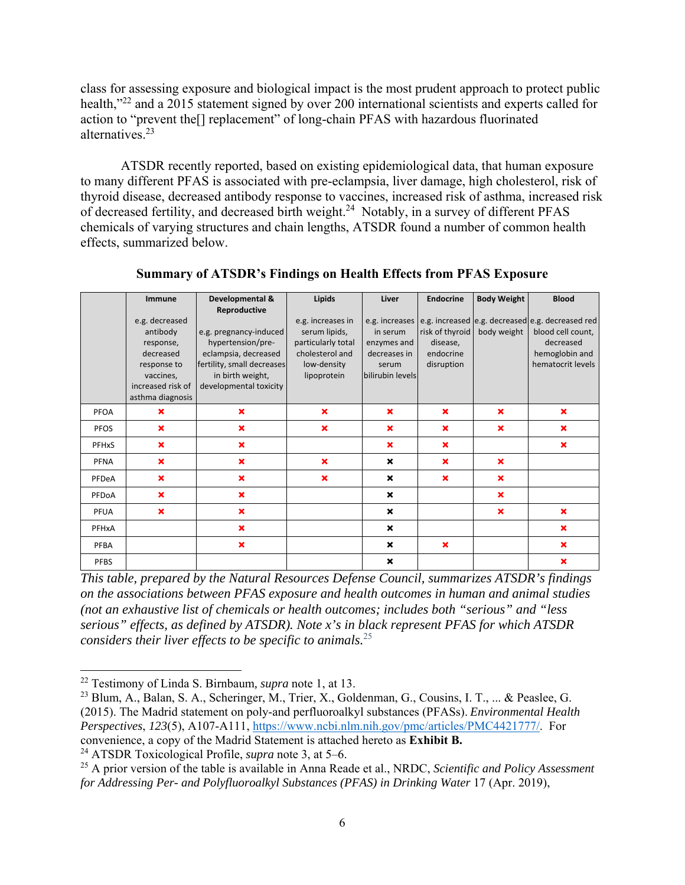class for assessing exposure and biological impact is the most prudent approach to protect public health,"<sup>22</sup> and a 2015 statement signed by over 200 international scientists and experts called for action to "prevent the[] replacement" of long-chain PFAS with hazardous fluorinated alternatives.23

ATSDR recently reported, based on existing epidemiological data, that human exposure to many different PFAS is associated with pre-eclampsia, liver damage, high cholesterol, risk of thyroid disease, decreased antibody response to vaccines, increased risk of asthma, increased risk of decreased fertility, and decreased birth weight.<sup>24</sup> Notably, in a survey of different PFAS chemicals of varying structures and chain lengths, ATSDR found a number of common health effects, summarized below.

|             | <b>Immune</b>                                                                                                             | Developmental &                                                                                                                                                 | Lipids                                                                                                    | Liver                                                                | <b>Endocrine</b>                                       | <b>Body Weight</b>        | <b>Blood</b>                                                                                                                             |
|-------------|---------------------------------------------------------------------------------------------------------------------------|-----------------------------------------------------------------------------------------------------------------------------------------------------------------|-----------------------------------------------------------------------------------------------------------|----------------------------------------------------------------------|--------------------------------------------------------|---------------------------|------------------------------------------------------------------------------------------------------------------------------------------|
|             | e.g. decreased<br>antibody<br>response,<br>decreased<br>response to<br>vaccines,<br>increased risk of<br>asthma diagnosis | Reproductive<br>e.g. pregnancy-induced<br>hypertension/pre-<br>eclampsia, decreased<br>fertility, small decreases<br>in birth weight,<br>developmental toxicity | e.g. increases in<br>serum lipids,<br>particularly total<br>cholesterol and<br>low-density<br>lipoprotein | in serum<br>enzymes and<br>decreases in<br>serum<br>bilirubin levels | risk of thyroid<br>disease,<br>endocrine<br>disruption | body weight               | e.g. increases e.g. increased e.g. decreased e.g. decreased red<br>blood cell count,<br>decreased<br>hemoglobin and<br>hematocrit levels |
| PFOA        | $\mathbf x$                                                                                                               | ×                                                                                                                                                               | $\boldsymbol{\mathsf{x}}$                                                                                 | $\boldsymbol{\mathsf{x}}$                                            | $\boldsymbol{\mathsf{x}}$                              | $\boldsymbol{\times}$     | $\mathbf x$                                                                                                                              |
| <b>PFOS</b> | $\boldsymbol{\mathsf{x}}$                                                                                                 | ×                                                                                                                                                               | $\bm{x}$                                                                                                  | ×                                                                    | $\mathbf x$                                            | $\mathbf x$               | $\boldsymbol{\mathsf{x}}$                                                                                                                |
| PFHxS       | $\boldsymbol{\mathsf{x}}$                                                                                                 | $\mathbf x$                                                                                                                                                     |                                                                                                           | $\mathbf x$                                                          | $\mathbf x$                                            |                           | $\boldsymbol{\mathsf{x}}$                                                                                                                |
| PFNA        | $\boldsymbol{\mathsf{x}}$                                                                                                 | ×                                                                                                                                                               | $\boldsymbol{\mathsf{x}}$                                                                                 | $\boldsymbol{\mathsf{x}}$                                            | $\mathbf x$                                            | $\boldsymbol{\times}$     |                                                                                                                                          |
| PFDeA       | $\boldsymbol{\mathsf{x}}$                                                                                                 | ×                                                                                                                                                               | $\boldsymbol{\mathsf{x}}$                                                                                 | $\boldsymbol{\mathsf{x}}$                                            | $\boldsymbol{\mathsf{x}}$                              | $\boldsymbol{\mathsf{x}}$ |                                                                                                                                          |
| PFDoA       | $\boldsymbol{\mathsf{x}}$                                                                                                 | $\mathbf x$                                                                                                                                                     |                                                                                                           | $\mathbf x$                                                          |                                                        | $\mathbf x$               |                                                                                                                                          |
| PFUA        | $\boldsymbol{\mathsf{x}}$                                                                                                 | $\mathbf x$                                                                                                                                                     |                                                                                                           | $\boldsymbol{\mathsf{x}}$                                            |                                                        | $\mathbf x$               | $\boldsymbol{\mathsf{x}}$                                                                                                                |
| PFHxA       |                                                                                                                           | $\boldsymbol{\mathsf{x}}$                                                                                                                                       |                                                                                                           | $\mathbf x$                                                          |                                                        |                           | $\boldsymbol{\mathsf{x}}$                                                                                                                |
| PFBA        |                                                                                                                           | $\boldsymbol{\mathsf{x}}$                                                                                                                                       |                                                                                                           | $\mathbf x$                                                          | $\mathbf x$                                            |                           | $\boldsymbol{\mathsf{x}}$                                                                                                                |
| <b>PFBS</b> |                                                                                                                           |                                                                                                                                                                 |                                                                                                           | $\mathbf x$                                                          |                                                        |                           | $\boldsymbol{\mathsf{x}}$                                                                                                                |

**Summary of ATSDR's Findings on Health Effects from PFAS Exposure** 

*This table, prepared by the Natural Resources Defense Council, summarizes ATSDR's findings on the associations between PFAS exposure and health outcomes in human and animal studies (not an exhaustive list of chemicals or health outcomes; includes both "serious" and "less serious" effects, as defined by ATSDR). Note x's in black represent PFAS for which ATSDR considers their liver effects to be specific to animals.*<sup>25</sup>

24 ATSDR Toxicological Profile, *supra* note 3, at 5–6.

<sup>22</sup> Testimony of Linda S. Birnbaum*, supra* note 1, at 13.

<sup>&</sup>lt;sup>23</sup> Blum, A., Balan, S. A., Scheringer, M., Trier, X., Goldenman, G., Cousins, I. T., ... & Peaslee, G. (2015). The Madrid statement on poly-and perfluoroalkyl substances (PFASs). *Environmental Health Perspectives*, *123*(5), A107-A111, https://www.ncbi.nlm.nih.gov/pmc/articles/PMC4421777/. For convenience, a copy of the Madrid Statement is attached hereto as **Exhibit B.** 

<sup>25</sup> A prior version of the table is available in Anna Reade et al., NRDC, *Scientific and Policy Assessment for Addressing Per- and Polyfluoroalkyl Substances (PFAS) in Drinking Water* 17 (Apr. 2019),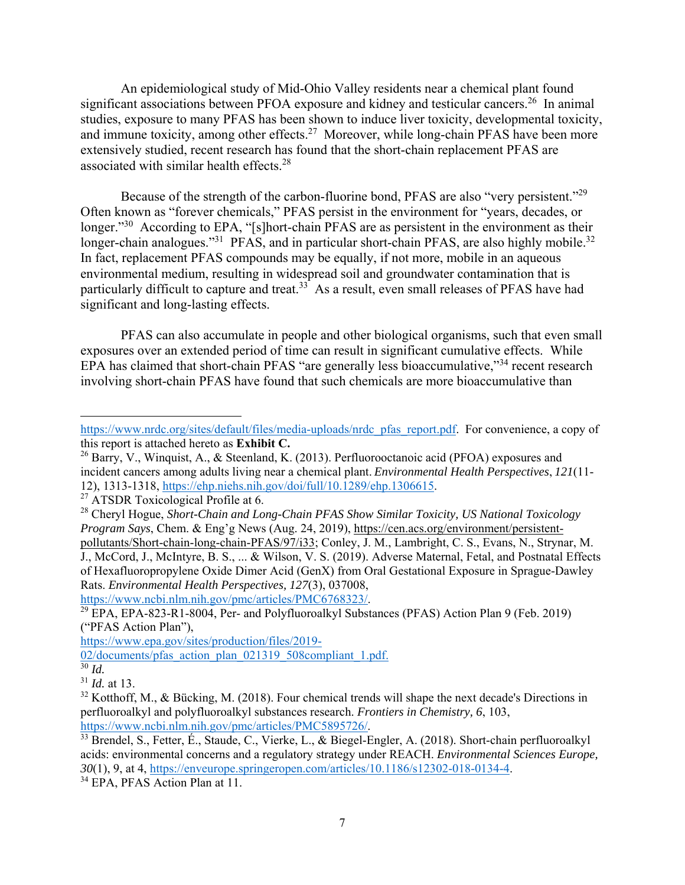An epidemiological study of Mid-Ohio Valley residents near a chemical plant found significant associations between PFOA exposure and kidney and testicular cancers.<sup>26</sup> In animal studies, exposure to many PFAS has been shown to induce liver toxicity, developmental toxicity, and immune toxicity, among other effects.<sup>27</sup> Moreover, while long-chain PFAS have been more extensively studied, recent research has found that the short-chain replacement PFAS are associated with similar health effects.28

Because of the strength of the carbon-fluorine bond, PFAS are also "very persistent."<sup>29</sup> Often known as "forever chemicals," PFAS persist in the environment for "years, decades, or longer."<sup>30</sup> According to EPA, "[s]hort-chain PFAS are as persistent in the environment as their longer-chain analogues."<sup>31</sup> PFAS, and in particular short-chain PFAS, are also highly mobile.<sup>32</sup> In fact, replacement PFAS compounds may be equally, if not more, mobile in an aqueous environmental medium, resulting in widespread soil and groundwater contamination that is particularly difficult to capture and treat.<sup>33</sup> As a result, even small releases of PFAS have had significant and long-lasting effects.

PFAS can also accumulate in people and other biological organisms, such that even small exposures over an extended period of time can result in significant cumulative effects. While EPA has claimed that short-chain PFAS "are generally less bioaccumulative,"34 recent research involving short-chain PFAS have found that such chemicals are more bioaccumulative than

 $\overline{30}$  *Id.* 

https://www.nrdc.org/sites/default/files/media-uploads/nrdc\_pfas\_report.pdf. For convenience, a copy of this report is attached hereto as **Exhibit C.** 

<sup>&</sup>lt;sup>26</sup> Barry, V., Winquist, A., & Steenland, K. (2013). Perfluorooctanoic acid (PFOA) exposures and incident cancers among adults living near a chemical plant. *Environmental Health Perspectives*, *121*(11- 12), 1313-1318, https://ehp.niehs.nih.gov/doi/full/10.1289/ehp.1306615. 27 ATSDR Toxicological Profile at 6.

<sup>28</sup> Cheryl Hogue, *Short-Chain and Long-Chain PFAS Show Similar Toxicity, US National Toxicology Program Says*, Chem. & Eng'g News (Aug. 24, 2019), https://cen.acs.org/environment/persistentpollutants/Short-chain-long-chain-PFAS/97/i33; Conley, J. M., Lambright, C. S., Evans, N., Strynar, M. J., McCord, J., McIntyre, B. S., ... & Wilson, V. S. (2019). Adverse Maternal, Fetal, and Postnatal Effects of Hexafluoropropylene Oxide Dimer Acid (GenX) from Oral Gestational Exposure in Sprague-Dawley Rats. *Environmental Health Perspectives, 127*(3), 037008,

https://www.ncbi.nlm.nih.gov/pmc/articles/PMC6768323/.<br><sup>29</sup> EPA, EPA-823-R1-8004, Per- and Polyfluoroalkyl Substances (PFAS) Action Plan 9 (Feb. 2019) ("PFAS Action Plan"),

https://www.epa.gov/sites/production/files/2019-

<sup>02/</sup>documents/pfas\_action\_plan\_021319\_508compliant\_1.pdf.

<sup>31</sup> *Id.* at 13.

 $32$  Kotthoff, M., & Bücking, M. (2018). Four chemical trends will shape the next decade's Directions in perfluoroalkyl and polyfluoroalkyl substances research. *Frontiers in Chemistry, 6*, 103,

 $\frac{33}{33}$  Brendel, S., Fetter, É., Staude, C., Vierke, L., & Biegel-Engler, A. (2018). Short-chain perfluoroalkyl acids: environmental concerns and a regulatory strategy under REACH. *Environmental Sciences Europe, 30*(1), 9, at 4, https://enveurope.springeropen.com/articles/10.1186/s12302-018-0134-4. 34 EPA, PFAS Action Plan at 11.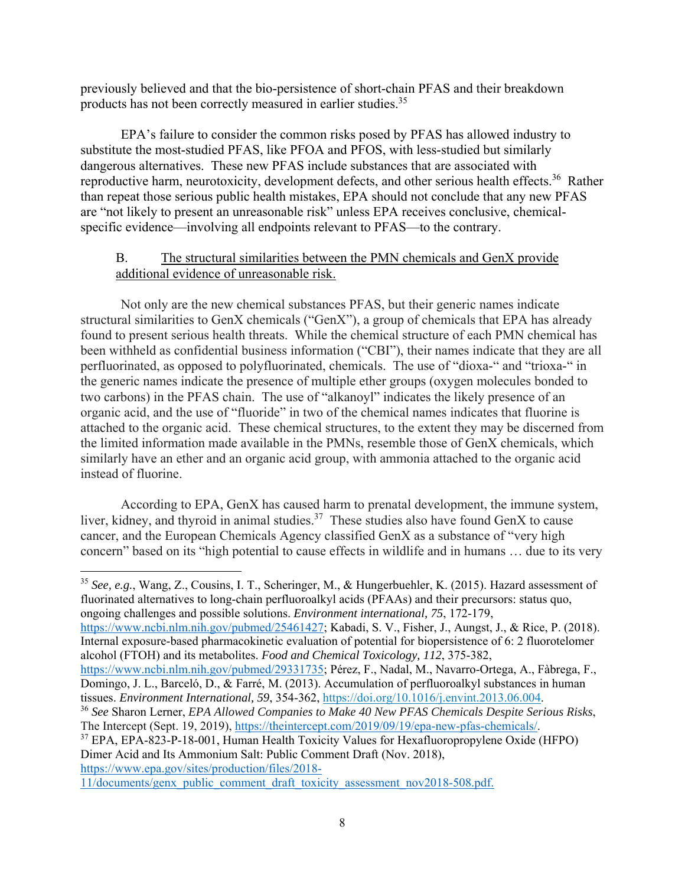previously believed and that the bio-persistence of short-chain PFAS and their breakdown products has not been correctly measured in earlier studies.35

EPA's failure to consider the common risks posed by PFAS has allowed industry to substitute the most-studied PFAS, like PFOA and PFOS, with less-studied but similarly dangerous alternatives. These new PFAS include substances that are associated with reproductive harm, neurotoxicity, development defects, and other serious health effects.<sup>36</sup> Rather than repeat those serious public health mistakes, EPA should not conclude that any new PFAS are "not likely to present an unreasonable risk" unless EPA receives conclusive, chemicalspecific evidence—involving all endpoints relevant to PFAS—to the contrary.

# B. The structural similarities between the PMN chemicals and GenX provide additional evidence of unreasonable risk.

Not only are the new chemical substances PFAS, but their generic names indicate structural similarities to GenX chemicals ("GenX"), a group of chemicals that EPA has already found to present serious health threats. While the chemical structure of each PMN chemical has been withheld as confidential business information ("CBI"), their names indicate that they are all perfluorinated, as opposed to polyfluorinated, chemicals. The use of "dioxa-" and "trioxa-" in the generic names indicate the presence of multiple ether groups (oxygen molecules bonded to two carbons) in the PFAS chain. The use of "alkanoyl" indicates the likely presence of an organic acid, and the use of "fluoride" in two of the chemical names indicates that fluorine is attached to the organic acid. These chemical structures, to the extent they may be discerned from the limited information made available in the PMNs, resemble those of GenX chemicals, which similarly have an ether and an organic acid group, with ammonia attached to the organic acid instead of fluorine.

According to EPA, GenX has caused harm to prenatal development, the immune system, liver, kidney, and thyroid in animal studies.<sup>37</sup> These studies also have found GenX to cause cancer, and the European Chemicals Agency classified GenX as a substance of "very high concern" based on its "high potential to cause effects in wildlife and in humans … due to its very

<sup>35</sup> *See, e.g.*, Wang, Z., Cousins, I. T., Scheringer, M., & Hungerbuehler, K. (2015). Hazard assessment of fluorinated alternatives to long-chain perfluoroalkyl acids (PFAAs) and their precursors: status quo, ongoing challenges and possible solutions. *Environment international, 75*, 172-179,

https://www.ncbi.nlm.nih.gov/pubmed/25461427; Kabadi, S. V., Fisher, J., Aungst, J., & Rice, P. (2018). Internal exposure-based pharmacokinetic evaluation of potential for biopersistence of 6: 2 fluorotelomer alcohol (FTOH) and its metabolites. *Food and Chemical Toxicology, 112*, 375-382,

37 EPA, EPA-823-P-18-001, Human Health Toxicity Values for Hexafluoropropylene Oxide (HFPO) Dimer Acid and Its Ammonium Salt: Public Comment Draft (Nov. 2018), https://www.epa.gov/sites/production/files/2018-

11/documents/genx\_public\_comment\_draft\_toxicity\_assessment\_nov2018-508.pdf.

https://www.ncbi.nlm.nih.gov/pubmed/29331735; Pérez, F., Nadal, M., Navarro-Ortega, A., Fàbrega, F., Domingo, J. L., Barceló, D., & Farré, M. (2013). Accumulation of perfluoroalkyl substances in human

tissues. *Environment International, 59*, 354-362, https://doi.org/10.1016/j.envint.2013.06.004. 36 *See* Sharon Lerner, *EPA Allowed Companies to Make 40 New PFAS Chemicals Despite Serious Risks*, The Intercept (Sept. 19, 2019), https://theintercept.com/2019/09/19/epa-new-pfas-chemicals/.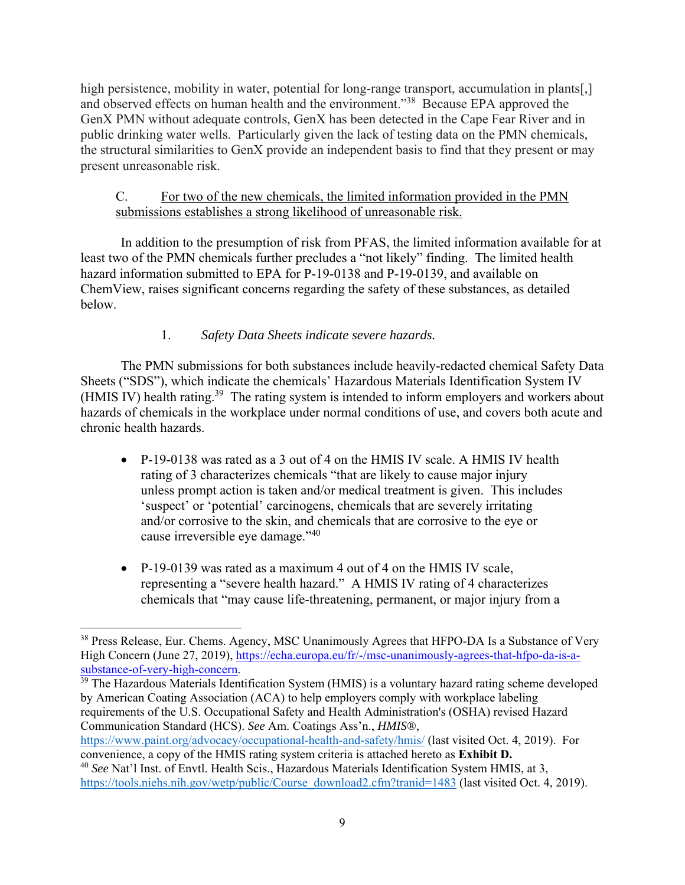high persistence, mobility in water, potential for long-range transport, accumulation in plants[,] and observed effects on human health and the environment."38 Because EPA approved the GenX PMN without adequate controls, GenX has been detected in the Cape Fear River and in public drinking water wells. Particularly given the lack of testing data on the PMN chemicals, the structural similarities to GenX provide an independent basis to find that they present or may present unreasonable risk.

# C. For two of the new chemicals, the limited information provided in the PMN submissions establishes a strong likelihood of unreasonable risk.

In addition to the presumption of risk from PFAS, the limited information available for at least two of the PMN chemicals further precludes a "not likely" finding. The limited health hazard information submitted to EPA for P-19-0138 and P-19-0139, and available on ChemView, raises significant concerns regarding the safety of these substances, as detailed below.

# 1. *Safety Data Sheets indicate severe hazards.*

The PMN submissions for both substances include heavily-redacted chemical Safety Data Sheets ("SDS"), which indicate the chemicals' Hazardous Materials Identification System IV (HMIS IV) health rating.<sup>39</sup> The rating system is intended to inform employers and workers about hazards of chemicals in the workplace under normal conditions of use, and covers both acute and chronic health hazards.

- P-19-0138 was rated as a 3 out of 4 on the HMIS IV scale. A HMIS IV health rating of 3 characterizes chemicals "that are likely to cause major injury unless prompt action is taken and/or medical treatment is given. This includes 'suspect' or 'potential' carcinogens, chemicals that are severely irritating and/or corrosive to the skin, and chemicals that are corrosive to the eye or cause irreversible eye damage."40
- P-19-0139 was rated as a maximum 4 out of 4 on the HMIS IV scale, representing a "severe health hazard." A HMIS IV rating of 4 characterizes chemicals that "may cause life-threatening, permanent, or major injury from a

 $39$  The Hazardous Materials Identification System (HMIS) is a voluntary hazard rating scheme developed by American Coating Association (ACA) to help employers comply with workplace labeling requirements of the U.S. Occupational Safety and Health Administration's (OSHA) revised Hazard Communication Standard (HCS). *See* Am. Coatings Ass'n., *HMIS®*,

https://www.paint.org/advocacy/occupational-health-and-safety/hmis/ (last visited Oct. 4, 2019). For convenience, a copy of the HMIS rating system criteria is attached hereto as **Exhibit D.**

<sup>&</sup>lt;sup>38</sup> Press Release, Eur. Chems. Agency, MSC Unanimously Agrees that HFPO-DA Is a Substance of Very High Concern (June 27, 2019), https://echa.europa.eu/fr/-/msc-unanimously-agrees-that-hfpo-da-is-asubstance-of-very-high-concern.

<sup>40</sup> *See* Nat'l Inst. of Envtl. Health Scis., Hazardous Materials Identification System HMIS, at 3, https://tools.niehs.nih.gov/wetp/public/Course\_download2.cfm?tranid=1483 (last visited Oct. 4, 2019).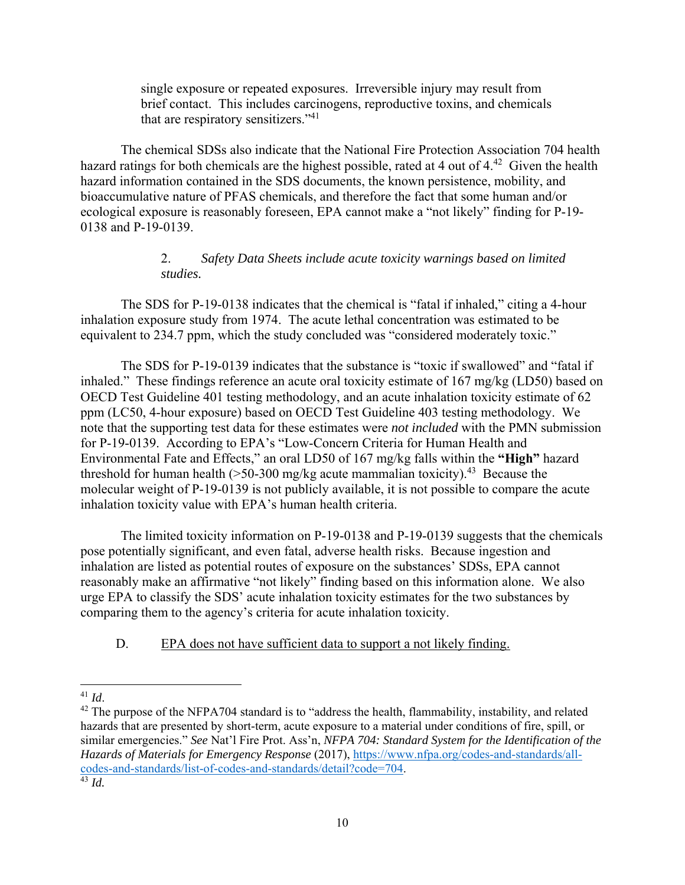single exposure or repeated exposures. Irreversible injury may result from brief contact. This includes carcinogens, reproductive toxins, and chemicals that are respiratory sensitizers."<sup>41</sup>

The chemical SDSs also indicate that the National Fire Protection Association 704 health hazard ratings for both chemicals are the highest possible, rated at 4 out of 4.<sup>42</sup> Given the health hazard information contained in the SDS documents, the known persistence, mobility, and bioaccumulative nature of PFAS chemicals, and therefore the fact that some human and/or ecological exposure is reasonably foreseen, EPA cannot make a "not likely" finding for P-19- 0138 and P-19-0139.

## 2. *Safety Data Sheets include acute toxicity warnings based on limited studies.*

The SDS for P-19-0138 indicates that the chemical is "fatal if inhaled," citing a 4-hour inhalation exposure study from 1974. The acute lethal concentration was estimated to be equivalent to 234.7 ppm, which the study concluded was "considered moderately toxic."

The SDS for P-19-0139 indicates that the substance is "toxic if swallowed" and "fatal if inhaled." These findings reference an acute oral toxicity estimate of 167 mg/kg (LD50) based on OECD Test Guideline 401 testing methodology, and an acute inhalation toxicity estimate of 62 ppm (LC50, 4-hour exposure) based on OECD Test Guideline 403 testing methodology. We note that the supporting test data for these estimates were *not included* with the PMN submission for P-19-0139. According to EPA's "Low-Concern Criteria for Human Health and Environmental Fate and Effects," an oral LD50 of 167 mg/kg falls within the **"High"** hazard threshold for human health ( $>50-300$  mg/kg acute mammalian toxicity).<sup>43</sup> Because the molecular weight of P-19-0139 is not publicly available, it is not possible to compare the acute inhalation toxicity value with EPA's human health criteria.

The limited toxicity information on P-19-0138 and P-19-0139 suggests that the chemicals pose potentially significant, and even fatal, adverse health risks. Because ingestion and inhalation are listed as potential routes of exposure on the substances' SDSs, EPA cannot reasonably make an affirmative "not likely" finding based on this information alone. We also urge EPA to classify the SDS' acute inhalation toxicity estimates for the two substances by comparing them to the agency's criteria for acute inhalation toxicity.

D. EPA does not have sufficient data to support a not likely finding.

<sup>&</sup>lt;sup>41</sup> *Id*.  $\frac{1}{2}$  The purpose of the NFPA704 standard is to "address the health, flammability, instability, and related hazards that are presented by short-term, acute exposure to a material under conditions of fire, spill, or similar emergencies." *See* Nat'l Fire Prot. Ass'n, *NFPA 704: Standard System for the Identification of the Hazards of Materials for Emergency Response* (2017), https://www.nfpa.org/codes-and-standards/allcodes-and-standards/list-of-codes-and-standards/detail?code=704. 43 *Id.*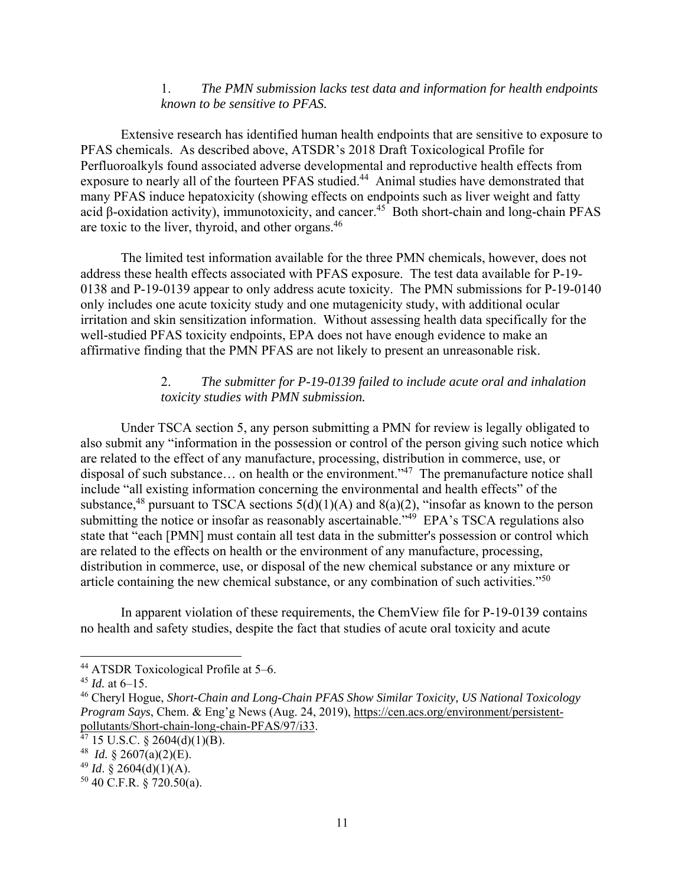### 1. *The PMN submission lacks test data and information for health endpoints known to be sensitive to PFAS.*

Extensive research has identified human health endpoints that are sensitive to exposure to PFAS chemicals. As described above, ATSDR's 2018 Draft Toxicological Profile for Perfluoroalkyls found associated adverse developmental and reproductive health effects from exposure to nearly all of the fourteen PFAS studied.<sup>44</sup> Animal studies have demonstrated that many PFAS induce hepatoxicity (showing effects on endpoints such as liver weight and fatty acid β-oxidation activity), immunotoxicity, and cancer.45 Both short-chain and long-chain PFAS are toxic to the liver, thyroid, and other organs.46

The limited test information available for the three PMN chemicals, however, does not address these health effects associated with PFAS exposure. The test data available for P-19- 0138 and P-19-0139 appear to only address acute toxicity. The PMN submissions for P-19-0140 only includes one acute toxicity study and one mutagenicity study, with additional ocular irritation and skin sensitization information. Without assessing health data specifically for the well-studied PFAS toxicity endpoints, EPA does not have enough evidence to make an affirmative finding that the PMN PFAS are not likely to present an unreasonable risk.

### 2. *The submitter for P-19-0139 failed to include acute oral and inhalation toxicity studies with PMN submission.*

Under TSCA section 5, any person submitting a PMN for review is legally obligated to also submit any "information in the possession or control of the person giving such notice which are related to the effect of any manufacture, processing, distribution in commerce, use, or disposal of such substance... on health or the environment."<sup>47</sup> The premanufacture notice shall include "all existing information concerning the environmental and health effects" of the substance,<sup>48</sup> pursuant to TSCA sections  $5(d)(1)(A)$  and  $8(a)(2)$ , "insofar as known to the person submitting the notice or insofar as reasonably ascertainable.<sup>349</sup> EPA's TSCA regulations also state that "each [PMN] must contain all test data in the submitter's possession or control which are related to the effects on health or the environment of any manufacture, processing, distribution in commerce, use, or disposal of the new chemical substance or any mixture or article containing the new chemical substance, or any combination of such activities."<sup>50</sup>

In apparent violation of these requirements, the ChemView file for P-19-0139 contains no health and safety studies, despite the fact that studies of acute oral toxicity and acute

<sup>&</sup>lt;sup>44</sup> ATSDR Toxicological Profile at 5–6.

<sup>45</sup> *Id.* at 6–15.

<sup>46</sup> Cheryl Hogue, *Short-Chain and Long-Chain PFAS Show Similar Toxicity, US National Toxicology Program Says*, Chem. & Eng'g News (Aug. 24, 2019), https://cen.acs.org/environment/persistentpollutants/Short-chain-long-chain-PFAS/97/i33.

 $47$  15 U.S.C. § 2604(d)(1)(B).

<sup>48</sup> *Id.* § 2607(a)(2)(E).

 $^{49}$  *Id.* § 2604(d)(1)(A).

 $50$  40 C.F.R. § 720.50(a).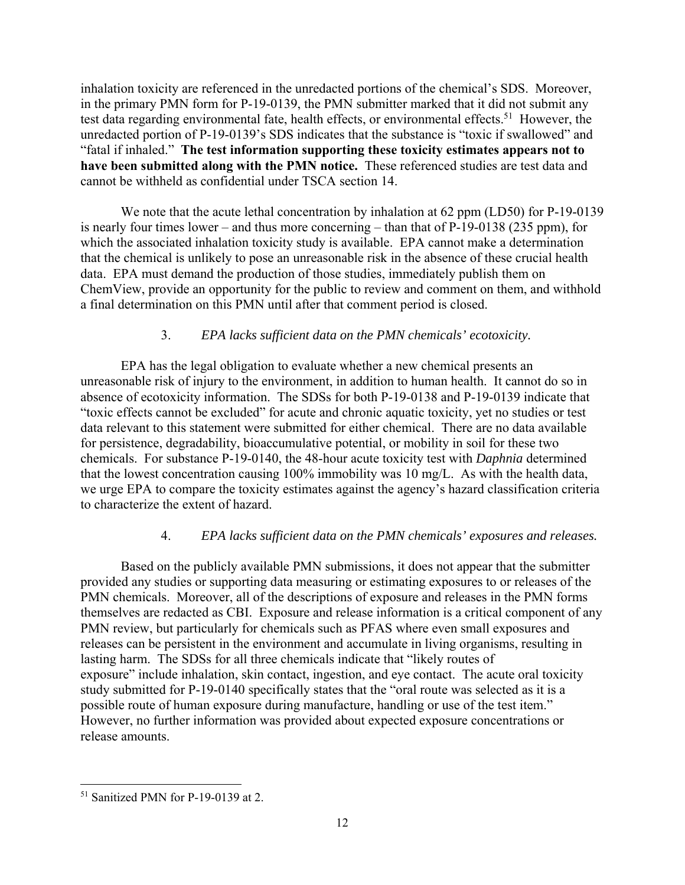inhalation toxicity are referenced in the unredacted portions of the chemical's SDS. Moreover, in the primary PMN form for P-19-0139, the PMN submitter marked that it did not submit any test data regarding environmental fate, health effects, or environmental effects.<sup>51</sup> However, the unredacted portion of P-19-0139's SDS indicates that the substance is "toxic if swallowed" and "fatal if inhaled." **The test information supporting these toxicity estimates appears not to have been submitted along with the PMN notice.** These referenced studies are test data and cannot be withheld as confidential under TSCA section 14.

We note that the acute lethal concentration by inhalation at 62 ppm (LD50) for P-19-0139 is nearly four times lower – and thus more concerning – than that of P-19-0138 (235 ppm), for which the associated inhalation toxicity study is available. EPA cannot make a determination that the chemical is unlikely to pose an unreasonable risk in the absence of these crucial health data. EPA must demand the production of those studies, immediately publish them on ChemView, provide an opportunity for the public to review and comment on them, and withhold a final determination on this PMN until after that comment period is closed.

## 3. *EPA lacks sufficient data on the PMN chemicals' ecotoxicity.*

EPA has the legal obligation to evaluate whether a new chemical presents an unreasonable risk of injury to the environment, in addition to human health. It cannot do so in absence of ecotoxicity information. The SDSs for both P-19-0138 and P-19-0139 indicate that "toxic effects cannot be excluded" for acute and chronic aquatic toxicity, yet no studies or test data relevant to this statement were submitted for either chemical. There are no data available for persistence, degradability, bioaccumulative potential, or mobility in soil for these two chemicals. For substance P-19-0140, the 48-hour acute toxicity test with *Daphnia* determined that the lowest concentration causing 100% immobility was 10 mg/L. As with the health data, we urge EPA to compare the toxicity estimates against the agency's hazard classification criteria to characterize the extent of hazard.

## 4. *EPA lacks sufficient data on the PMN chemicals' exposures and releases.*

Based on the publicly available PMN submissions, it does not appear that the submitter provided any studies or supporting data measuring or estimating exposures to or releases of the PMN chemicals. Moreover, all of the descriptions of exposure and releases in the PMN forms themselves are redacted as CBI. Exposure and release information is a critical component of any PMN review, but particularly for chemicals such as PFAS where even small exposures and releases can be persistent in the environment and accumulate in living organisms, resulting in lasting harm. The SDSs for all three chemicals indicate that "likely routes of exposure" include inhalation, skin contact, ingestion, and eye contact. The acute oral toxicity study submitted for P-19-0140 specifically states that the "oral route was selected as it is a possible route of human exposure during manufacture, handling or use of the test item." However, no further information was provided about expected exposure concentrations or release amounts.

<sup>&</sup>lt;sup>51</sup> Sanitized PMN for P-19-0139 at 2.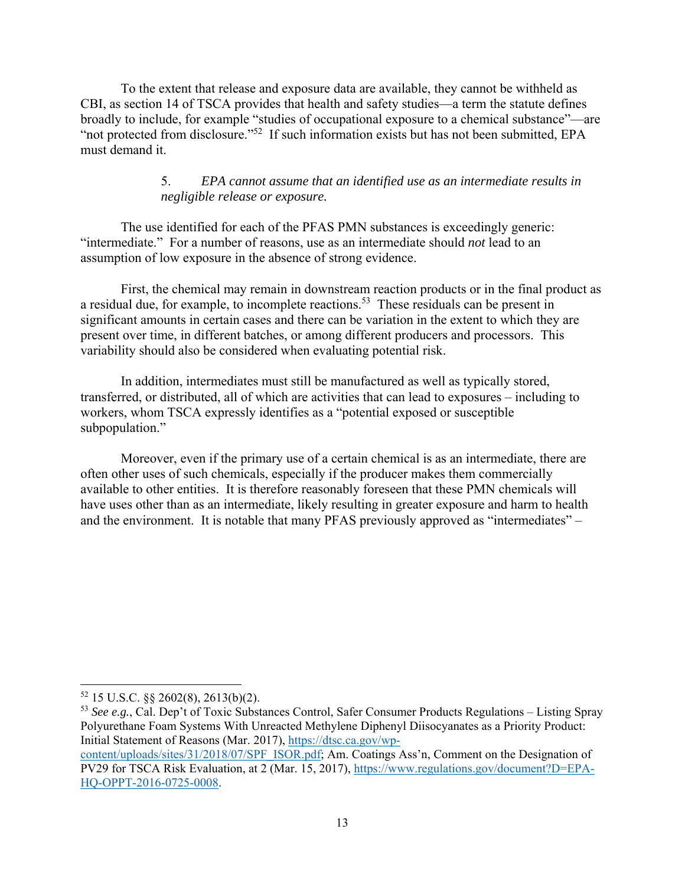To the extent that release and exposure data are available, they cannot be withheld as CBI, as section 14 of TSCA provides that health and safety studies—a term the statute defines broadly to include, for example "studies of occupational exposure to a chemical substance"—are "not protected from disclosure."52 If such information exists but has not been submitted, EPA must demand it.

## 5. *EPA cannot assume that an identified use as an intermediate results in negligible release or exposure.*

The use identified for each of the PFAS PMN substances is exceedingly generic: "intermediate." For a number of reasons, use as an intermediate should *not* lead to an assumption of low exposure in the absence of strong evidence.

First, the chemical may remain in downstream reaction products or in the final product as a residual due, for example, to incomplete reactions.<sup>53</sup> These residuals can be present in significant amounts in certain cases and there can be variation in the extent to which they are present over time, in different batches, or among different producers and processors. This variability should also be considered when evaluating potential risk.

In addition, intermediates must still be manufactured as well as typically stored, transferred, or distributed, all of which are activities that can lead to exposures – including to workers, whom TSCA expressly identifies as a "potential exposed or susceptible subpopulation."

Moreover, even if the primary use of a certain chemical is as an intermediate, there are often other uses of such chemicals, especially if the producer makes them commercially available to other entities. It is therefore reasonably foreseen that these PMN chemicals will have uses other than as an intermediate, likely resulting in greater exposure and harm to health and the environment. It is notable that many PFAS previously approved as "intermediates" –

  $52$  15 U.S.C. §§ 2602(8), 2613(b)(2).

<sup>53</sup> *See e.g.*, Cal. Dep't of Toxic Substances Control, Safer Consumer Products Regulations – Listing Spray Polyurethane Foam Systems With Unreacted Methylene Diphenyl Diisocyanates as a Priority Product: Initial Statement of Reasons (Mar. 2017), https://dtsc.ca.gov/wp-

content/uploads/sites/31/2018/07/SPF\_ISOR.pdf; Am. Coatings Ass'n, Comment on the Designation of PV29 for TSCA Risk Evaluation, at 2 (Mar. 15, 2017), https://www.regulations.gov/document?D=EPA-HQ-OPPT-2016-0725-0008.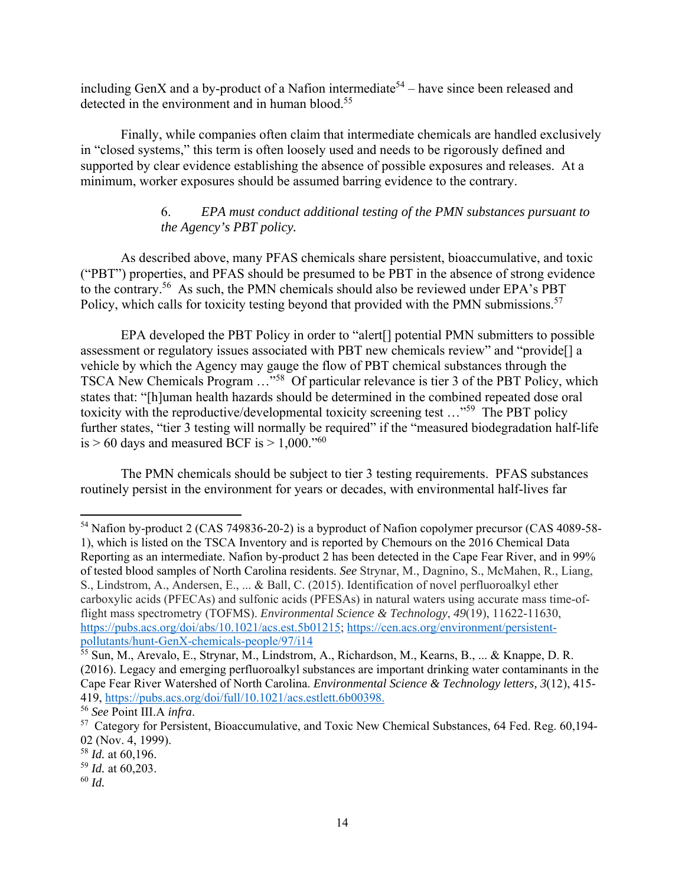including GenX and a by-product of a Nafion intermediate<sup>54</sup> – have since been released and detected in the environment and in human blood.<sup>55</sup>

Finally, while companies often claim that intermediate chemicals are handled exclusively in "closed systems," this term is often loosely used and needs to be rigorously defined and supported by clear evidence establishing the absence of possible exposures and releases. At a minimum, worker exposures should be assumed barring evidence to the contrary.

## 6. *EPA must conduct additional testing of the PMN substances pursuant to the Agency's PBT policy.*

 As described above, many PFAS chemicals share persistent, bioaccumulative, and toxic ("PBT") properties, and PFAS should be presumed to be PBT in the absence of strong evidence to the contrary.56 As such, the PMN chemicals should also be reviewed under EPA's PBT Policy, which calls for toxicity testing beyond that provided with the PMN submissions.<sup>57</sup>

EPA developed the PBT Policy in order to "alert[] potential PMN submitters to possible assessment or regulatory issues associated with PBT new chemicals review" and "provide[] a vehicle by which the Agency may gauge the flow of PBT chemical substances through the TSCA New Chemicals Program …"58 Of particular relevance is tier 3 of the PBT Policy, which states that: "[h]uman health hazards should be determined in the combined repeated dose oral toxicity with the reproductive/developmental toxicity screening test …"59 The PBT policy further states, "tier 3 testing will normally be required" if the "measured biodegradation half-life is  $> 60$  days and measured BCF is  $> 1,000$ ."<sup>60</sup>

The PMN chemicals should be subject to tier 3 testing requirements. PFAS substances routinely persist in the environment for years or decades, with environmental half-lives far

<sup>54</sup> Nafion by-product 2 (CAS 749836-20-2) is a byproduct of Nafion copolymer precursor (CAS 4089-58- 1), which is listed on the TSCA Inventory and is reported by Chemours on the 2016 Chemical Data Reporting as an intermediate. Nafion by-product 2 has been detected in the Cape Fear River, and in 99% of tested blood samples of North Carolina residents. *See* Strynar, M., Dagnino, S., McMahen, R., Liang, S., Lindstrom, A., Andersen, E., ... & Ball, C. (2015). Identification of novel perfluoroalkyl ether carboxylic acids (PFECAs) and sulfonic acids (PFESAs) in natural waters using accurate mass time-offlight mass spectrometry (TOFMS). *Environmental Science & Technology*, *49*(19), 11622-11630, https://pubs.acs.org/doi/abs/10.1021/acs.est.5b01215; https://cen.acs.org/environment/persistent-<br>pollutants/hunt-GenX-chemicals-people/97/i14

<sup>&</sup>lt;sup>55</sup> Sun, M., Arevalo, E., Strynar, M., Lindstrom, A., Richardson, M., Kearns, B., ... & Knappe, D. R. (2016). Legacy and emerging perfluoroalkyl substances are important drinking water contaminants in the Cape Fear River Watershed of North Carolina. *Environmental Science & Technology letters, 3*(12), 415- 419, https://pubs.acs.org/doi/full/10.1021/acs.estlett.6b00398.<br><sup>56</sup> See Point III.A infra.

<sup>&</sup>lt;sup>57</sup> Category for Persistent, Bioaccumulative, and Toxic New Chemical Substances, 64 Fed. Reg. 60,194-02 (Nov. 4, 1999).

<sup>58</sup> *Id.* at 60,196.

<sup>59</sup> *Id.* at 60,203.

<sup>60</sup> *Id.*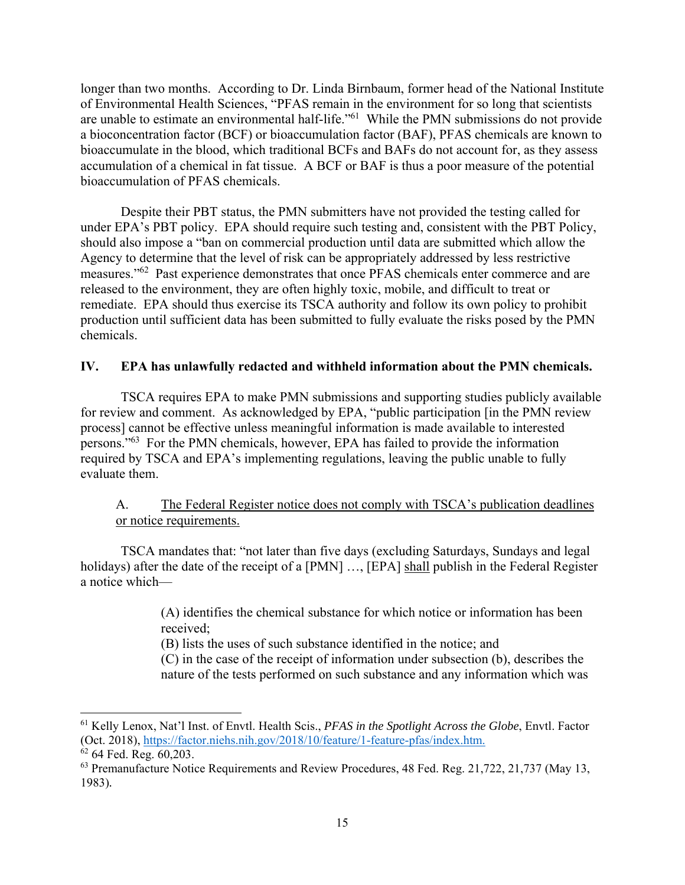longer than two months. According to Dr. Linda Birnbaum, former head of the National Institute of Environmental Health Sciences, "PFAS remain in the environment for so long that scientists are unable to estimate an environmental half-life."<sup>61</sup> While the PMN submissions do not provide a bioconcentration factor (BCF) or bioaccumulation factor (BAF), PFAS chemicals are known to bioaccumulate in the blood, which traditional BCFs and BAFs do not account for, as they assess accumulation of a chemical in fat tissue. A BCF or BAF is thus a poor measure of the potential bioaccumulation of PFAS chemicals.

Despite their PBT status, the PMN submitters have not provided the testing called for under EPA's PBT policy. EPA should require such testing and, consistent with the PBT Policy, should also impose a "ban on commercial production until data are submitted which allow the Agency to determine that the level of risk can be appropriately addressed by less restrictive measures."62 Past experience demonstrates that once PFAS chemicals enter commerce and are released to the environment, they are often highly toxic, mobile, and difficult to treat or remediate. EPA should thus exercise its TSCA authority and follow its own policy to prohibit production until sufficient data has been submitted to fully evaluate the risks posed by the PMN chemicals.

## **IV. EPA has unlawfully redacted and withheld information about the PMN chemicals.**

TSCA requires EPA to make PMN submissions and supporting studies publicly available for review and comment. As acknowledged by EPA, "public participation [in the PMN review process] cannot be effective unless meaningful information is made available to interested persons."63 For the PMN chemicals, however, EPA has failed to provide the information required by TSCA and EPA's implementing regulations, leaving the public unable to fully evaluate them.

# A. The Federal Register notice does not comply with TSCA's publication deadlines or notice requirements.

TSCA mandates that: "not later than five days (excluding Saturdays, Sundays and legal holidays) after the date of the receipt of a [PMN] ..., [EPA] shall publish in the Federal Register a notice which—

> (A) identifies the chemical substance for which notice or information has been received;

(B) lists the uses of such substance identified in the notice; and

(C) in the case of the receipt of information under subsection (b), describes the nature of the tests performed on such substance and any information which was

<sup>61</sup> Kelly Lenox, Nat'l Inst. of Envtl. Health Scis., *PFAS in the Spotlight Across the Globe*, Envtl. Factor (Oct. 2018), https://factor.niehs.nih.gov/2018/10/feature/1-feature-pfas/index.htm.

 $62$  64 Fed. Reg. 60,203.

<sup>&</sup>lt;sup>63</sup> Premanufacture Notice Requirements and Review Procedures, 48 Fed. Reg. 21,722, 21,737 (May 13, 1983)*.*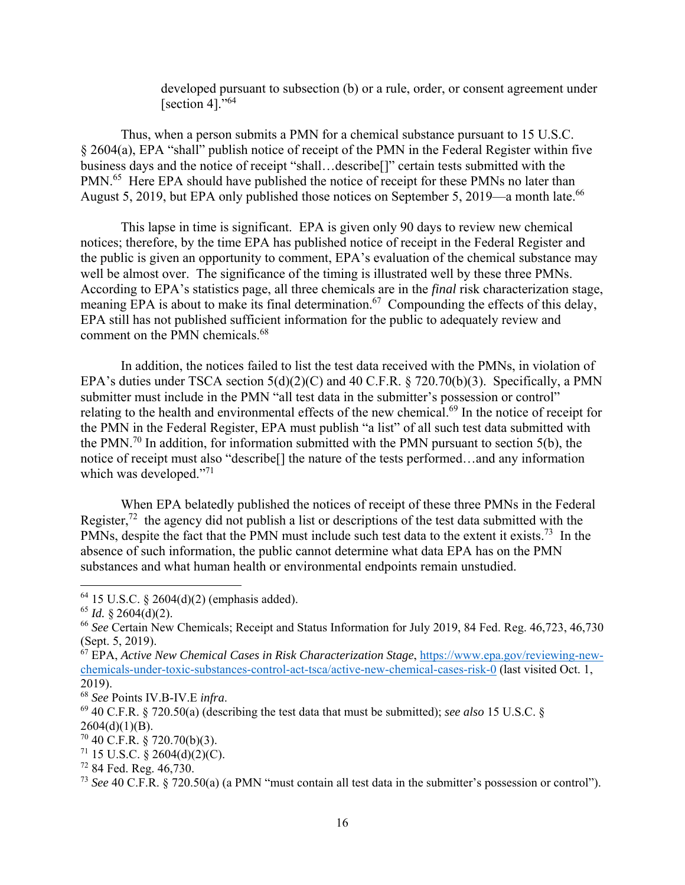developed pursuant to subsection (b) or a rule, order, or consent agreement under [section 4]."<sup>64</sup>

Thus, when a person submits a PMN for a chemical substance pursuant to 15 U.S.C. § 2604(a), EPA "shall" publish notice of receipt of the PMN in the Federal Register within five business days and the notice of receipt "shall…describe[]" certain tests submitted with the PMN.<sup>65</sup> Here EPA should have published the notice of receipt for these PMNs no later than August 5, 2019, but EPA only published those notices on September 5, 2019—a month late.<sup>66</sup>

This lapse in time is significant. EPA is given only 90 days to review new chemical notices; therefore, by the time EPA has published notice of receipt in the Federal Register and the public is given an opportunity to comment, EPA's evaluation of the chemical substance may well be almost over. The significance of the timing is illustrated well by these three PMNs. According to EPA's statistics page, all three chemicals are in the *final* risk characterization stage, meaning EPA is about to make its final determination.<sup>67</sup> Compounding the effects of this delay, EPA still has not published sufficient information for the public to adequately review and comment on the PMN chemicals.<sup>68</sup>

In addition, the notices failed to list the test data received with the PMNs, in violation of EPA's duties under TSCA section 5(d)(2)(C) and 40 C.F.R. § 720.70(b)(3). Specifically, a PMN submitter must include in the PMN "all test data in the submitter's possession or control" relating to the health and environmental effects of the new chemical.<sup>69</sup> In the notice of receipt for the PMN in the Federal Register, EPA must publish "a list" of all such test data submitted with the PMN.<sup>70</sup> In addition, for information submitted with the PMN pursuant to section 5(b), the notice of receipt must also "describe[] the nature of the tests performed…and any information which was developed."<sup>71</sup>

When EPA belatedly published the notices of receipt of these three PMNs in the Federal Register,<sup>72</sup> the agency did not publish a list or descriptions of the test data submitted with the PMNs, despite the fact that the PMN must include such test data to the extent it exists.<sup>73</sup> In the absence of such information, the public cannot determine what data EPA has on the PMN substances and what human health or environmental endpoints remain unstudied.

 $64$  15 U.S.C. § 2604(d)(2) (emphasis added).

 $65$  *Id.* § 2604(d)(2).

<sup>66</sup> *See* Certain New Chemicals; Receipt and Status Information for July 2019, 84 Fed. Reg. 46,723, 46,730 (Sept. 5, 2019).

<sup>67</sup> EPA, *Active New Chemical Cases in Risk Characterization Stage*, https://www.epa.gov/reviewing-newchemicals-under-toxic-substances-control-act-tsca/active-new-chemical-cases-risk-0 (last visited Oct. 1, 2019).<br><sup>68</sup> See Points IV.B-IV.E infra.

<sup>&</sup>lt;sup>69</sup> 40 C.F.R. § 720.50(a) (describing the test data that must be submitted); *see also* 15 U.S.C. §  $2604(d)(1)(B)$ .

 $70$  40 C.F.R. § 720.70(b)(3).

 $71$  15 U.S.C. § 2604(d)(2)(C).

<sup>72 84</sup> Fed. Reg. 46,730.

<sup>73</sup> *See* 40 C.F.R. § 720.50(a) (a PMN "must contain all test data in the submitter's possession or control").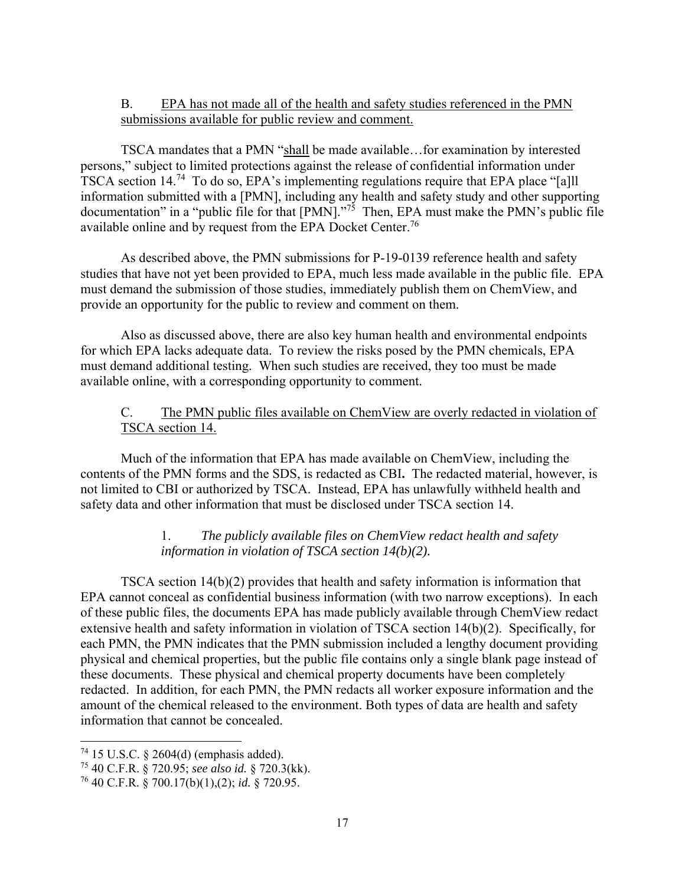# B. EPA has not made all of the health and safety studies referenced in the PMN submissions available for public review and comment.

TSCA mandates that a PMN "shall be made available…for examination by interested persons," subject to limited protections against the release of confidential information under TSCA section 14.74 To do so, EPA's implementing regulations require that EPA place "[a]ll information submitted with a [PMN], including any health and safety study and other supporting documentation" in a "public file for that [PMN]."<sup>75</sup> Then, EPA must make the PMN's public file available online and by request from the EPA Docket Center.76

As described above, the PMN submissions for P-19-0139 reference health and safety studies that have not yet been provided to EPA, much less made available in the public file. EPA must demand the submission of those studies, immediately publish them on ChemView, and provide an opportunity for the public to review and comment on them.

 Also as discussed above, there are also key human health and environmental endpoints for which EPA lacks adequate data. To review the risks posed by the PMN chemicals, EPA must demand additional testing. When such studies are received, they too must be made available online, with a corresponding opportunity to comment.

# C. The PMN public files available on ChemView are overly redacted in violation of TSCA section 14.

Much of the information that EPA has made available on ChemView, including the contents of the PMN forms and the SDS, is redacted as CBI**.** The redacted material, however, is not limited to CBI or authorized by TSCA. Instead, EPA has unlawfully withheld health and safety data and other information that must be disclosed under TSCA section 14.

# 1. *The publicly available files on ChemView redact health and safety information in violation of TSCA section 14(b)(2).*

TSCA section 14(b)(2) provides that health and safety information is information that EPA cannot conceal as confidential business information (with two narrow exceptions). In each of these public files, the documents EPA has made publicly available through ChemView redact extensive health and safety information in violation of TSCA section 14(b)(2). Specifically, for each PMN, the PMN indicates that the PMN submission included a lengthy document providing physical and chemical properties, but the public file contains only a single blank page instead of these documents. These physical and chemical property documents have been completely redacted. In addition, for each PMN, the PMN redacts all worker exposure information and the amount of the chemical released to the environment. Both types of data are health and safety information that cannot be concealed.

 $74$  15 U.S.C. § 2604(d) (emphasis added).

<sup>75 40</sup> C.F.R. § 720.95; *see also id.* § 720.3(kk).

<sup>76 40</sup> C.F.R. § 700.17(b)(1),(2); *id.* § 720.95.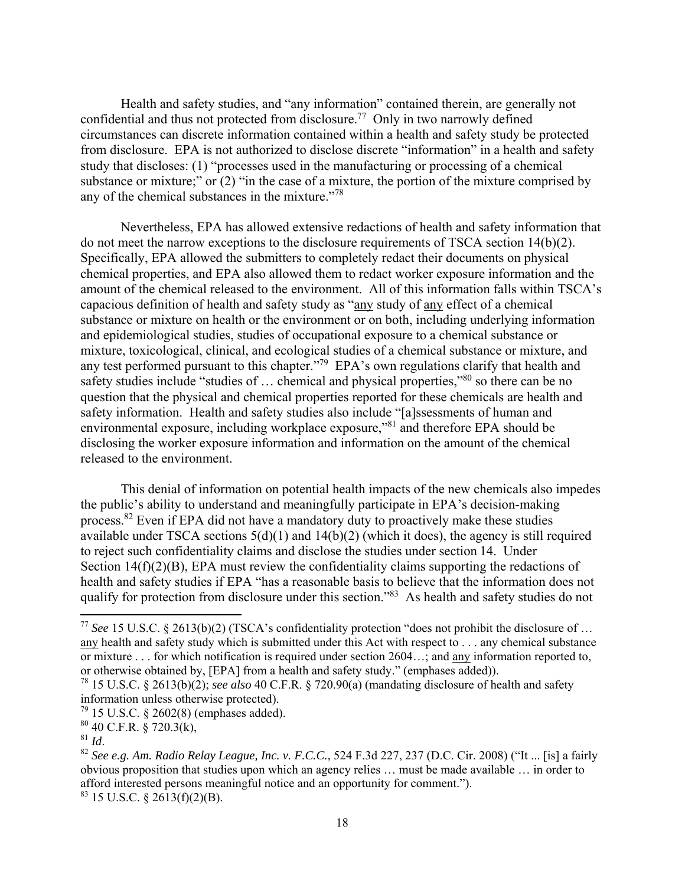Health and safety studies, and "any information" contained therein, are generally not confidential and thus not protected from disclosure.<sup>77</sup> Only in two narrowly defined circumstances can discrete information contained within a health and safety study be protected from disclosure. EPA is not authorized to disclose discrete "information" in a health and safety study that discloses: (1) "processes used in the manufacturing or processing of a chemical substance or mixture;" or (2) "in the case of a mixture, the portion of the mixture comprised by any of the chemical substances in the mixture."<sup>78</sup>

Nevertheless, EPA has allowed extensive redactions of health and safety information that do not meet the narrow exceptions to the disclosure requirements of TSCA section 14(b)(2). Specifically, EPA allowed the submitters to completely redact their documents on physical chemical properties, and EPA also allowed them to redact worker exposure information and the amount of the chemical released to the environment. All of this information falls within TSCA's capacious definition of health and safety study as "any study of any effect of a chemical substance or mixture on health or the environment or on both, including underlying information and epidemiological studies, studies of occupational exposure to a chemical substance or mixture, toxicological, clinical, and ecological studies of a chemical substance or mixture, and any test performed pursuant to this chapter."<sup>79</sup> EPA's own regulations clarify that health and safety studies include "studies of ... chemical and physical properties,"<sup>80</sup> so there can be no question that the physical and chemical properties reported for these chemicals are health and safety information. Health and safety studies also include "[a]ssessments of human and environmental exposure, including workplace exposure,"<sup>81</sup> and therefore EPA should be disclosing the worker exposure information and information on the amount of the chemical released to the environment.

This denial of information on potential health impacts of the new chemicals also impedes the public's ability to understand and meaningfully participate in EPA's decision-making process.<sup>82</sup> Even if EPA did not have a mandatory duty to proactively make these studies available under TSCA sections 5(d)(1) and 14(b)(2) (which it does), the agency is still required to reject such confidentiality claims and disclose the studies under section 14. Under Section 14(f)(2)(B), EPA must review the confidentiality claims supporting the redactions of health and safety studies if EPA "has a reasonable basis to believe that the information does not qualify for protection from disclosure under this section."83 As health and safety studies do not

<sup>77</sup> *See* 15 U.S.C. § 2613(b)(2) (TSCA's confidentiality protection "does not prohibit the disclosure of … any health and safety study which is submitted under this Act with respect to . . . any chemical substance or mixture . . . for which notification is required under section 2604…; and any information reported to, or otherwise obtained by, [EPA] from a health and safety study." (emphases added)).

<sup>78 15</sup> U.S.C. § 2613(b)(2); *see also* 40 C.F.R. § 720.90(a) (mandating disclosure of health and safety information unless otherwise protected).

 $79$  15 U.S.C. § 2602(8) (emphases added).

 $^{80}_{81}$  40 C.F.R. § 720.3(k),

<sup>81</sup> *Id*. 82 *See e.g. Am. Radio Relay League, Inc. v. F.C.C.*, 524 F.3d 227, 237 (D.C. Cir. 2008) ("It ... [is] a fairly obvious proposition that studies upon which an agency relies … must be made available … in order to afford interested persons meaningful notice and an opportunity for comment.").

 $83$  15 U.S.C. § 2613(f)(2)(B).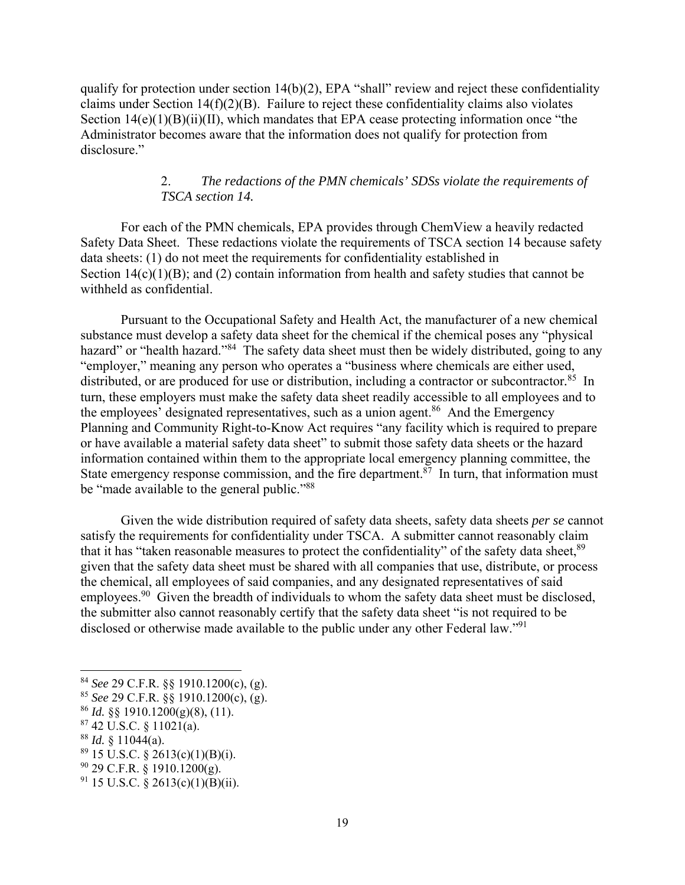qualify for protection under section 14(b)(2), EPA "shall" review and reject these confidentiality claims under Section 14(f)(2)(B). Failure to reject these confidentiality claims also violates Section 14(e)(1)(B)(ii)(II), which mandates that EPA cease protecting information once "the Administrator becomes aware that the information does not qualify for protection from disclosure."

### 2. *The redactions of the PMN chemicals' SDSs violate the requirements of TSCA section 14.*

For each of the PMN chemicals, EPA provides through ChemView a heavily redacted Safety Data Sheet. These redactions violate the requirements of TSCA section 14 because safety data sheets: (1) do not meet the requirements for confidentiality established in Section  $14(c)(1)(B)$ ; and (2) contain information from health and safety studies that cannot be withheld as confidential.

Pursuant to the Occupational Safety and Health Act, the manufacturer of a new chemical substance must develop a safety data sheet for the chemical if the chemical poses any "physical hazard" or "health hazard."<sup>84</sup> The safety data sheet must then be widely distributed, going to any "employer," meaning any person who operates a "business where chemicals are either used, distributed, or are produced for use or distribution, including a contractor or subcontractor*.* <sup>85</sup>In turn, these employers must make the safety data sheet readily accessible to all employees and to the employees' designated representatives, such as a union agent.<sup>86</sup> And the Emergency Planning and Community Right-to-Know Act requires "any facility which is required to prepare or have available a material safety data sheet" to submit those safety data sheets or the hazard information contained within them to the appropriate local emergency planning committee, the State emergency response commission, and the fire department.<sup>87</sup> In turn, that information must be "made available to the general public."<sup>88</sup>

Given the wide distribution required of safety data sheets, safety data sheets *per se* cannot satisfy the requirements for confidentiality under TSCA. A submitter cannot reasonably claim that it has "taken reasonable measures to protect the confidentiality" of the safety data sheet,  $89$ given that the safety data sheet must be shared with all companies that use, distribute, or process the chemical, all employees of said companies, and any designated representatives of said employees.<sup>90</sup> Given the breadth of individuals to whom the safety data sheet must be disclosed, the submitter also cannot reasonably certify that the safety data sheet "is not required to be disclosed or otherwise made available to the public under any other Federal law."<sup>91</sup>

 $88$  *Id.* § 11044(a).

<sup>84</sup> *See* 29 C.F.R. §§ 1910.1200(c), (g).

<sup>85</sup> *See* 29 C.F.R. §§ 1910.1200(c), (g).

<sup>86</sup> *Id.* §§ 1910.1200(g)(8), (11).

 $87$  42 U.S.C.  $\frac{$8,11021(a)}{a}$ .

 $89$  15 U.S.C. § 2613(c)(1)(B)(i).

 $90$  29 C.F.R. § 1910.1200(g).

 $91$  15 U.S.C. § 2613(c)(1)(B)(ii).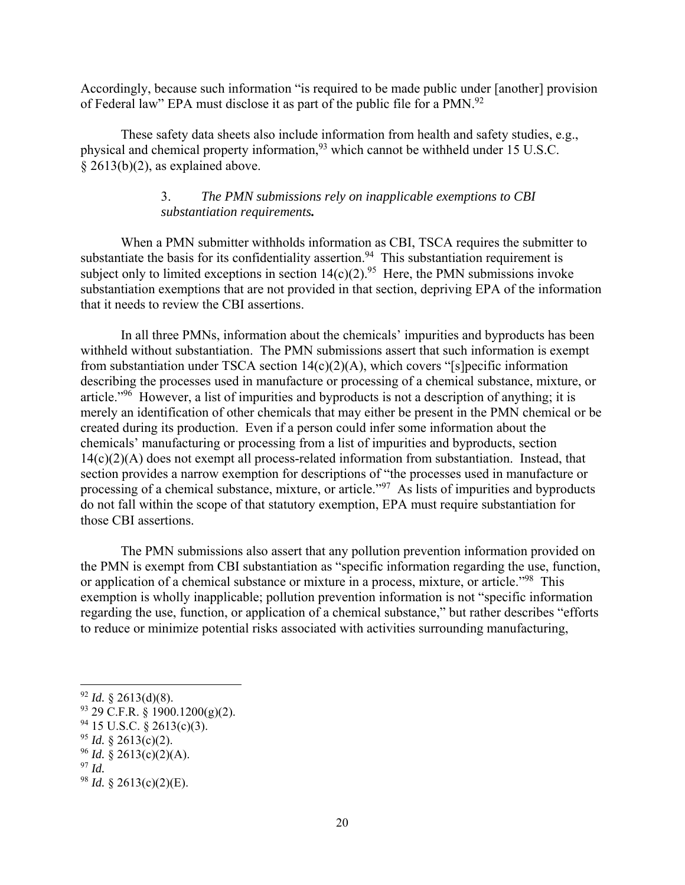Accordingly, because such information "is required to be made public under [another] provision of Federal law" EPA must disclose it as part of the public file for a PMN.<sup>92</sup>

These safety data sheets also include information from health and safety studies, e.g., physical and chemical property information,93 which cannot be withheld under 15 U.S.C. § 2613(b)(2), as explained above.

## 3. *The PMN submissions rely on inapplicable exemptions to CBI substantiation requirements.*

When a PMN submitter withholds information as CBI, TSCA requires the submitter to substantiate the basis for its confidentiality assertion.<sup>94</sup> This substantiation requirement is subject only to limited exceptions in section  $14(c)(2)$ .<sup>95</sup> Here, the PMN submissions invoke substantiation exemptions that are not provided in that section, depriving EPA of the information that it needs to review the CBI assertions.

In all three PMNs, information about the chemicals' impurities and byproducts has been withheld without substantiation. The PMN submissions assert that such information is exempt from substantiation under TSCA section 14(c)(2)(A), which covers "[s]pecific information describing the processes used in manufacture or processing of a chemical substance, mixture, or article."96 However, a list of impurities and byproducts is not a description of anything; it is merely an identification of other chemicals that may either be present in the PMN chemical or be created during its production. Even if a person could infer some information about the chemicals' manufacturing or processing from a list of impurities and byproducts, section 14(c)(2)(A) does not exempt all process-related information from substantiation. Instead, that section provides a narrow exemption for descriptions of "the processes used in manufacture or processing of a chemical substance, mixture, or article.<sup>"97</sup> As lists of impurities and byproducts do not fall within the scope of that statutory exemption, EPA must require substantiation for those CBI assertions.

The PMN submissions also assert that any pollution prevention information provided on the PMN is exempt from CBI substantiation as "specific information regarding the use, function, or application of a chemical substance or mixture in a process, mixture, or article."<sup>98</sup> This exemption is wholly inapplicable; pollution prevention information is not "specific information regarding the use, function, or application of a chemical substance," but rather describes "efforts to reduce or minimize potential risks associated with activities surrounding manufacturing,

 $92$  *Id.* § 2613(d)(8).

 $93$  29 C.F.R. § 1900.1200(g)(2).

 $94$  15 U.S.C. § 2613(c)(3).

<sup>&</sup>lt;sup>95</sup> *Id.* § 2613(c)(2).

 $96$  *Id.* § 2613(c)(2)(A).

<sup>97</sup> *Id.* 

<sup>98</sup> *Id.* § 2613(c)(2)(E).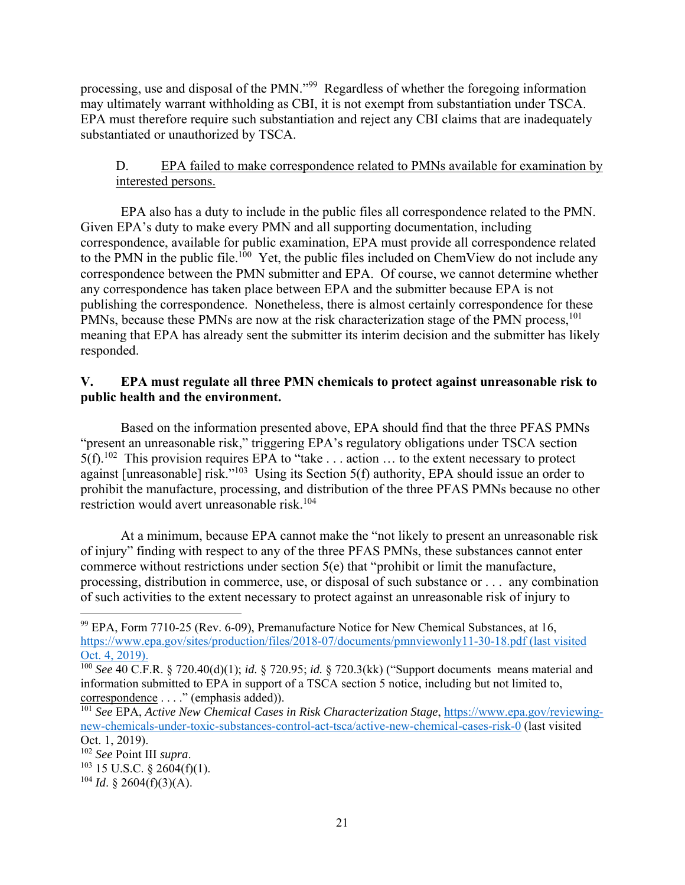processing, use and disposal of the PMN."99 Regardless of whether the foregoing information may ultimately warrant withholding as CBI, it is not exempt from substantiation under TSCA. EPA must therefore require such substantiation and reject any CBI claims that are inadequately substantiated or unauthorized by TSCA.

# D. EPA failed to make correspondence related to PMNs available for examination by interested persons.

EPA also has a duty to include in the public files all correspondence related to the PMN. Given EPA's duty to make every PMN and all supporting documentation, including correspondence, available for public examination, EPA must provide all correspondence related to the PMN in the public file.<sup>100</sup> Yet, the public files included on ChemView do not include any correspondence between the PMN submitter and EPA. Of course, we cannot determine whether any correspondence has taken place between EPA and the submitter because EPA is not publishing the correspondence. Nonetheless, there is almost certainly correspondence for these PMNs, because these PMNs are now at the risk characterization stage of the PMN process,<sup>101</sup> meaning that EPA has already sent the submitter its interim decision and the submitter has likely responded.

# **V. EPA must regulate all three PMN chemicals to protect against unreasonable risk to public health and the environment.**

Based on the information presented above, EPA should find that the three PFAS PMNs "present an unreasonable risk," triggering EPA's regulatory obligations under TSCA section  $5(f)$ .<sup>102</sup> This provision requires EPA to "take . . . action ... to the extent necessary to protect against [unreasonable] risk."103 Using its Section 5(f) authority, EPA should issue an order to prohibit the manufacture, processing, and distribution of the three PFAS PMNs because no other restriction would avert unreasonable risk.<sup>104</sup>

At a minimum, because EPA cannot make the "not likely to present an unreasonable risk of injury" finding with respect to any of the three PFAS PMNs, these substances cannot enter commerce without restrictions under section 5(e) that "prohibit or limit the manufacture, processing, distribution in commerce, use, or disposal of such substance or . . . any combination of such activities to the extent necessary to protect against an unreasonable risk of injury to

 $99$  EPA, Form 7710-25 (Rev. 6-09), Premanufacture Notice for New Chemical Substances, at 16, https://www.epa.gov/sites/production/files/2018-07/documents/pmnviewonly11-30-18.pdf (last visited Oct. 4, 2019).

<sup>100</sup> *See* 40 C.F.R. § 720.40(d)(1); *id.* § 720.95; *id.* § 720.3(kk) ("Support documents means material and information submitted to EPA in support of a TSCA section 5 notice, including but not limited to, correspondence . . . ." (emphasis added)).

<sup>&</sup>lt;sup>101</sup> See EPA, *Active New Chemical Cases in Risk Characterization Stage*, https://www.epa.gov/reviewingnew-chemicals-under-toxic-substances-control-act-tsca/active-new-chemical-cases-risk-0 (last visited Oct. 1, 2019).<br><sup>102</sup> See Point III supra.

 $103$  15 U.S.C. § 2604(f)(1).

 $104$  *Id.* § 2604(f)(3)(A).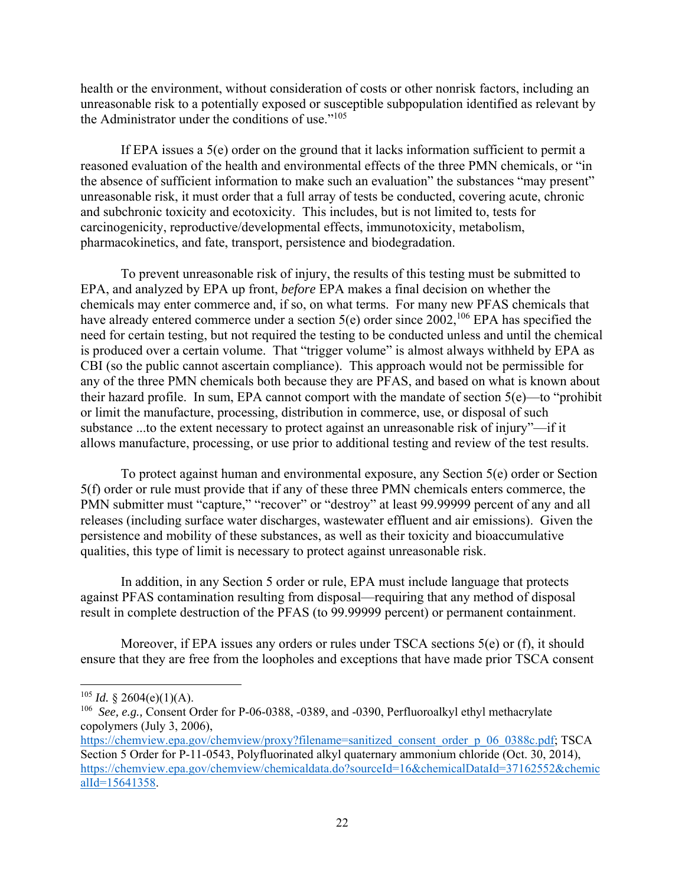health or the environment, without consideration of costs or other nonrisk factors, including an unreasonable risk to a potentially exposed or susceptible subpopulation identified as relevant by the Administrator under the conditions of use."<sup>105</sup>

If EPA issues a 5(e) order on the ground that it lacks information sufficient to permit a reasoned evaluation of the health and environmental effects of the three PMN chemicals, or "in the absence of sufficient information to make such an evaluation" the substances "may present" unreasonable risk, it must order that a full array of tests be conducted, covering acute, chronic and subchronic toxicity and ecotoxicity. This includes, but is not limited to, tests for carcinogenicity, reproductive/developmental effects, immunotoxicity, metabolism, pharmacokinetics, and fate, transport, persistence and biodegradation.

To prevent unreasonable risk of injury, the results of this testing must be submitted to EPA, and analyzed by EPA up front, *before* EPA makes a final decision on whether the chemicals may enter commerce and, if so, on what terms. For many new PFAS chemicals that have already entered commerce under a section  $5(e)$  order since  $2002$ ,<sup>106</sup> EPA has specified the need for certain testing, but not required the testing to be conducted unless and until the chemical is produced over a certain volume. That "trigger volume" is almost always withheld by EPA as CBI (so the public cannot ascertain compliance). This approach would not be permissible for any of the three PMN chemicals both because they are PFAS, and based on what is known about their hazard profile. In sum, EPA cannot comport with the mandate of section  $5(e)$ —to "prohibit or limit the manufacture, processing, distribution in commerce, use, or disposal of such substance ...to the extent necessary to protect against an unreasonable risk of injury"—if it allows manufacture, processing, or use prior to additional testing and review of the test results.

To protect against human and environmental exposure, any Section 5(e) order or Section 5(f) order or rule must provide that if any of these three PMN chemicals enters commerce, the PMN submitter must "capture," "recover" or "destroy" at least 99.99999 percent of any and all releases (including surface water discharges, wastewater effluent and air emissions). Given the persistence and mobility of these substances, as well as their toxicity and bioaccumulative qualities, this type of limit is necessary to protect against unreasonable risk.

In addition, in any Section 5 order or rule, EPA must include language that protects against PFAS contamination resulting from disposal—requiring that any method of disposal result in complete destruction of the PFAS (to 99.99999 percent) or permanent containment.

Moreover, if EPA issues any orders or rules under TSCA sections 5(e) or (f), it should ensure that they are free from the loopholes and exceptions that have made prior TSCA consent

<sup>&</sup>lt;sup>105</sup> *Id.* § 2604(e)(1)(A).

<sup>106</sup> *See, e.g.,* Consent Order for P-06-0388, -0389, and -0390, Perfluoroalkyl ethyl methacrylate copolymers (July 3, 2006),

https://chemview.epa.gov/chemview/proxy?filename=sanitized\_consent\_order\_p\_06\_0388c.pdf; TSCA Section 5 Order for P-11-0543, Polyfluorinated alkyl quaternary ammonium chloride (Oct. 30, 2014), https://chemview.epa.gov/chemview/chemicaldata.do?sourceId=16&chemicalDataId=37162552&chemic alId=15641358.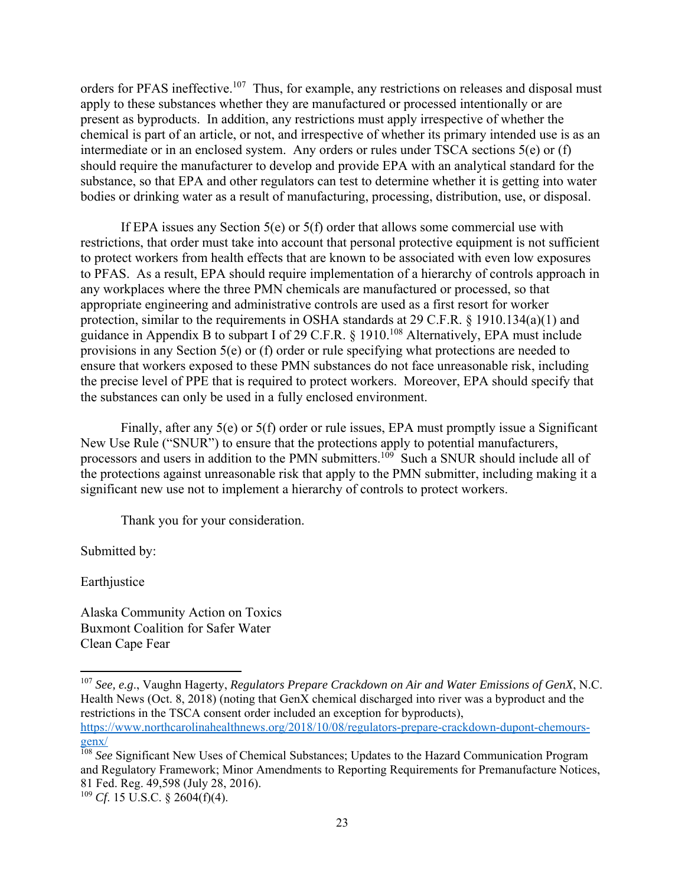orders for PFAS ineffective.<sup>107</sup> Thus, for example, any restrictions on releases and disposal must apply to these substances whether they are manufactured or processed intentionally or are present as byproducts. In addition, any restrictions must apply irrespective of whether the chemical is part of an article, or not, and irrespective of whether its primary intended use is as an intermediate or in an enclosed system. Any orders or rules under TSCA sections 5(e) or (f) should require the manufacturer to develop and provide EPA with an analytical standard for the substance, so that EPA and other regulators can test to determine whether it is getting into water bodies or drinking water as a result of manufacturing, processing, distribution, use, or disposal.

If EPA issues any Section 5(e) or 5(f) order that allows some commercial use with restrictions, that order must take into account that personal protective equipment is not sufficient to protect workers from health effects that are known to be associated with even low exposures to PFAS. As a result, EPA should require implementation of a hierarchy of controls approach in any workplaces where the three PMN chemicals are manufactured or processed, so that appropriate engineering and administrative controls are used as a first resort for worker protection, similar to the requirements in OSHA standards at 29 C.F.R. § 1910.134(a)(1) and guidance in Appendix B to subpart I of 29 C.F.R.  $\S$  1910.<sup>108</sup> Alternatively, EPA must include provisions in any Section 5(e) or (f) order or rule specifying what protections are needed to ensure that workers exposed to these PMN substances do not face unreasonable risk, including the precise level of PPE that is required to protect workers. Moreover, EPA should specify that the substances can only be used in a fully enclosed environment.

Finally, after any 5(e) or 5(f) order or rule issues, EPA must promptly issue a Significant New Use Rule ("SNUR") to ensure that the protections apply to potential manufacturers, processors and users in addition to the PMN submitters.<sup>109</sup> Such a SNUR should include all of the protections against unreasonable risk that apply to the PMN submitter, including making it a significant new use not to implement a hierarchy of controls to protect workers.

Thank you for your consideration.

Submitted by:

Earthjustice

Alaska Community Action on Toxics Buxmont Coalition for Safer Water Clean Cape Fear

<sup>107</sup> *See, e.g*., Vaughn Hagerty, *Regulators Prepare Crackdown on Air and Water Emissions of GenX*, N.C. Health News (Oct. 8, 2018) (noting that GenX chemical discharged into river was a byproduct and the restrictions in the TSCA consent order included an exception for byproducts), https://www.northcarolinahealthnews.org/2018/10/08/regulators-prepare-crackdown-dupont-chemours-

<sup>&</sup>lt;sup>108</sup> See Significant New Uses of Chemical Substances; Updates to the Hazard Communication Program and Regulatory Framework; Minor Amendments to Reporting Requirements for Premanufacture Notices, 81 Fed. Reg. 49,598 (July 28, 2016).

<sup>109</sup> *Cf*. 15 U.S.C. § 2604(f)(4).